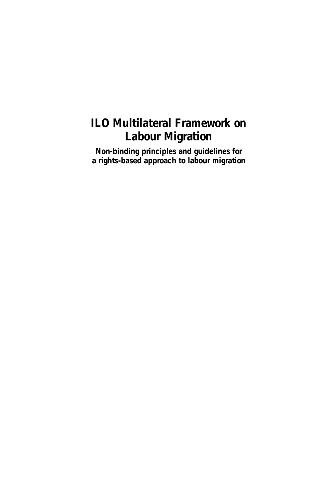## **ILO Multilateral Framework on Labour Migration**

**Non-binding principles and guidelines for a rights-based approach to labour migration**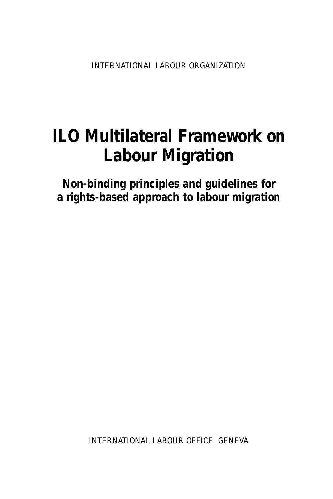INTERNATIONAL LABOUR ORGANIZATION

# **ILO Multilateral Framework on Labour Migration**

**Non-binding principles and guidelines for a rights-based approach to labour migration** 

INTERNATIONAL LABOUR OFFICE GENEVA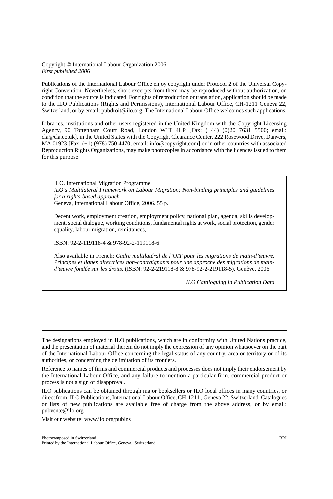#### Copyright © International Labour Organization 2006 *First published 2006*

Publications of the International Labour Office enjoy copyright under Protocol 2 of the Universal Copyright Convention. Nevertheless, short excerpts from them may be reproduced without authorization, on condition that the source is indicated. For rights of reproduction or translation, application should be made to the ILO Publications (Rights and Permissions), International Labour Office, CH-1211 Geneva 22, Switzerland, or by email: pubdroit@ilo.org. The International Labour Office welcomes such applications.

Libraries, institutions and other users registered in the United Kingdom with the Copyright Licensing Agency, 90 Tottenham Court Road, London W1T 4LP [Fax: (+44) (0)20 7631 5500; email: cla@cla.co.uk], in the United States with the Copyright Clearance Center, 222 Rosewood Drive, Danvers, MA 01923 [Fax: (+1) (978) 750 4470; email: info@copyright.com] or in other countries with associated Reproduction Rights Organizations, may make photocopies in accordance with the licences issued to them for this purpose.

ILO. International Migration Programme *ILO's Multilateral Framework on Labour Migration; Non-binding principles and guidelines for a rights-based approach*  Geneva, International Labour Office, 2006. 55 p.

Decent work, employment creation, employment policy, national plan, agenda, skills development, social dialogue, working conditions, fundamental rights at work, social protection, gender equality, labour migration, remittances,

ISBN: 92-2-119118-4 & 978-92-2-119118-6

Also available in French: *Cadre multilatéral de l'OIT pour les migrations de main-d'œuvre. Principes et lignes directrices non-contraignants pour une approche des migrations de maind'œuvre fondée sur les droits.* (ISBN: 92-2-219118-8 & 978-92-2-219118-5). Genève, 2006

*ILO Cataloguing in Publication Data* 

The designations employed in ILO publications, which are in conformity with United Nations practice, and the presentation of material therein do not imply the expression of any opinion whatsoever on the part of the International Labour Office concerning the legal status of any country, area or territory or of its authorities, or concerning the delimitation of its frontiers.

Reference to names of firms and commercial products and processes does not imply their endorsement by the International Labour Office, and any failure to mention a particular firm, commercial product or process is not a sign of disapproval.

ILO publications can be obtained through major booksellers or ILO local offices in many countries, or direct from: ILO Publications, International Labour Office, CH-1211 , Geneva 22, Switzerland. Catalogues or lists of new publications are available free of charge from the above address, or by email: pubvente@ilo.org

Visit our website: www.ilo.org/publns

Photocomposed in Switzerland BRI

Printed by the International Labour Office, Geneva, Switzerland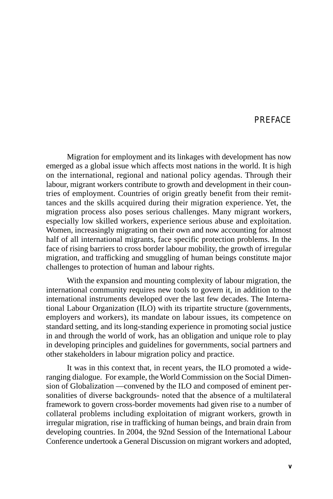#### PREFACE

Migration for employment and its linkages with development has now emerged as a global issue which affects most nations in the world. It is high on the international, regional and national policy agendas. Through their labour, migrant workers contribute to growth and development in their countries of employment. Countries of origin greatly benefit from their remittances and the skills acquired during their migration experience. Yet, the migration process also poses serious challenges. Many migrant workers, especially low skilled workers, experience serious abuse and exploitation. Women, increasingly migrating on their own and now accounting for almost half of all international migrants, face specific protection problems. In the face of rising barriers to cross border labour mobility, the growth of irregular migration, and trafficking and smuggling of human beings constitute major challenges to protection of human and labour rights.

With the expansion and mounting complexity of labour migration, the international community requires new tools to govern it, in addition to the international instruments developed over the last few decades. The International Labour Organization (ILO) with its tripartite structure (governments, employers and workers), its mandate on labour issues, its competence on standard setting, and its long-standing experience in promoting social justice in and through the world of work, has an obligation and unique role to play in developing principles and guidelines for governments, social partners and other stakeholders in labour migration policy and practice.

It was in this context that, in recent years, the ILO promoted a wideranging dialogue. For example, the World Commission on the Social Dimension of Globalization —convened by the ILO and composed of eminent personalities of diverse backgrounds- noted that the absence of a multilateral framework to govern cross-border movements had given rise to a number of collateral problems including exploitation of migrant workers, growth in irregular migration, rise in trafficking of human beings, and brain drain from developing countries. In 2004, the 92nd Session of the International Labour Conference undertook a General Discussion on migrant workers and adopted,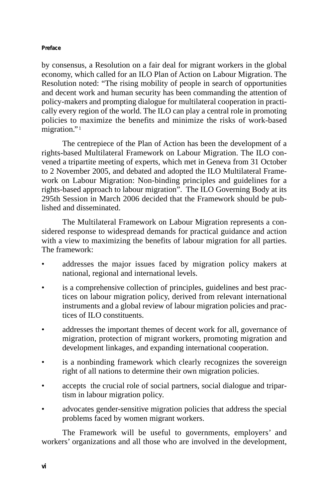#### **Preface**

by consensus, a Resolution on a fair deal for migrant workers in the global economy, which called for an ILO Plan of Action on Labour Migration. The Resolution noted: "The rising mobility of people in search of opportunities and decent work and human security has been commanding the attention of policy-makers and prompting dialogue for multilateral cooperation in practically every region of the world. The ILO can play a central role in promoting policies to maximize the benefits and minimize the risks of work-based migration."<sup>1</sup>

The centrepiece of the Plan of Action has been the development of a rights-based Multilateral Framework on Labour Migration. The ILO convened a tripartite meeting of experts, which met in Geneva from 31 October to 2 November 2005, and debated and adopted the ILO Multilateral Framework on Labour Migration: Non-binding principles and guidelines for a rights-based approach to labour migration". The ILO Governing Body at its 295th Session in March 2006 decided that the Framework should be published and disseminated.

The Multilateral Framework on Labour Migration represents a considered response to widespread demands for practical guidance and action with a view to maximizing the benefits of labour migration for all parties. The framework:

- addresses the major issues faced by migration policy makers at national, regional and international levels.
- is a comprehensive collection of principles, guidelines and best practices on labour migration policy, derived from relevant international instruments and a global review of labour migration policies and practices of ILO constituents.
- addresses the important themes of decent work for all, governance of migration, protection of migrant workers, promoting migration and development linkages, and expanding international cooperation.
- is a nonbinding framework which clearly recognizes the sovereign right of all nations to determine their own migration policies.
- accepts the crucial role of social partners, social dialogue and tripartism in labour migration policy.
- advocates gender-sensitive migration policies that address the special problems faced by women migrant workers.

The Framework will be useful to governments, employers' and workers' organizations and all those who are involved in the development,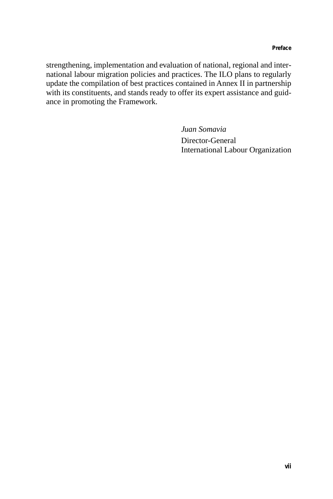strengthening, implementation and evaluation of national, regional and international labour migration policies and practices. The ILO plans to regularly update the compilation of best practices contained in Annex II in partnership with its constituents, and stands ready to offer its expert assistance and guidance in promoting the Framework.

> *Juan Somavia*  Director-General International Labour Organization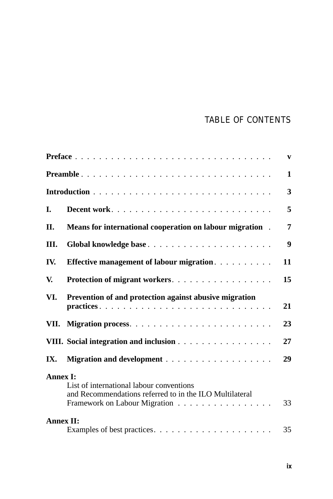## TABLE OF CONTENTS

|                  |                                                                                                                                      | $\mathbf{v}$     |
|------------------|--------------------------------------------------------------------------------------------------------------------------------------|------------------|
|                  | Preamble                                                                                                                             | $\mathbf{1}$     |
|                  |                                                                                                                                      | 3                |
| I.               |                                                                                                                                      | 5                |
| II.              | Means for international cooperation on labour migration.                                                                             | 7                |
| Ш.               |                                                                                                                                      | $\boldsymbol{9}$ |
| IV.              | <b>Effective management of labour migration.</b>                                                                                     | 11               |
| V.               | Protection of migrant workers.                                                                                                       | 15               |
| VI.              | Prevention of and protection against abusive migration                                                                               | 21               |
| VII.             |                                                                                                                                      | 23               |
|                  | VIII. Social integration and inclusion                                                                                               | 27               |
| IX.              |                                                                                                                                      | 29               |
| <b>Annex I:</b>  |                                                                                                                                      |                  |
|                  | List of international labour conventions<br>and Recommendations referred to in the ILO Multilateral<br>Framework on Labour Migration | 33               |
| <b>Annex II:</b> |                                                                                                                                      | 35               |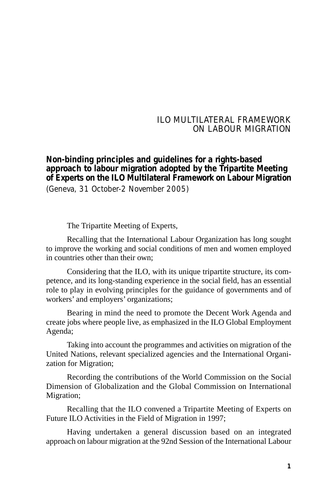#### ILO MULTILATERAL FRAMEWORK ON LABOUR MIGRATION

#### **Non-binding principles and guidelines for a rights-based approach to labour migration adopted by the Tripartite Meeting of Experts on the ILO Multilateral Framework on Labour Migration**  (Geneva, 31 October-2 November 2005)

The Tripartite Meeting of Experts,

Recalling that the International Labour Organization has long sought to improve the working and social conditions of men and women employed in countries other than their own;

Considering that the ILO, with its unique tripartite structure, its competence, and its long-standing experience in the social field, has an essential role to play in evolving principles for the guidance of governments and of workers' and employers' organizations;

Bearing in mind the need to promote the Decent Work Agenda and create jobs where people live, as emphasized in the ILO Global Employment Agenda;

Taking into account the programmes and activities on migration of the United Nations, relevant specialized agencies and the International Organization for Migration;

Recording the contributions of the World Commission on the Social Dimension of Globalization and the Global Commission on International Migration;

Recalling that the ILO convened a Tripartite Meeting of Experts on Future ILO Activities in the Field of Migration in 1997;

Having undertaken a general discussion based on an integrated approach on labour migration at the 92nd Session of the International Labour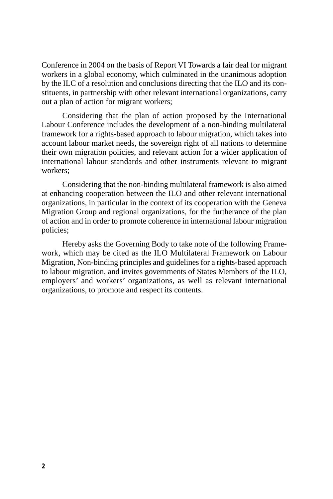Conference in 2004 on the basis of Report VI Towards a fair deal for migrant workers in a global economy, which culminated in the unanimous adoption by the ILC of a resolution and conclusions directing that the ILO and its constituents, in partnership with other relevant international organizations, carry out a plan of action for migrant workers;

Considering that the plan of action proposed by the International Labour Conference includes the development of a non-binding multilateral framework for a rights-based approach to labour migration, which takes into account labour market needs, the sovereign right of all nations to determine their own migration policies, and relevant action for a wider application of international labour standards and other instruments relevant to migrant workers;

Considering that the non-binding multilateral framework is also aimed at enhancing cooperation between the ILO and other relevant international organizations, in particular in the context of its cooperation with the Geneva Migration Group and regional organizations, for the furtherance of the plan of action and in order to promote coherence in international labour migration policies;

Hereby asks the Governing Body to take note of the following Framework, which may be cited as the ILO Multilateral Framework on Labour Migration, Non-binding principles and guidelines for a rights-based approach to labour migration, and invites governments of States Members of the ILO, employers' and workers' organizations, as well as relevant international organizations, to promote and respect its contents.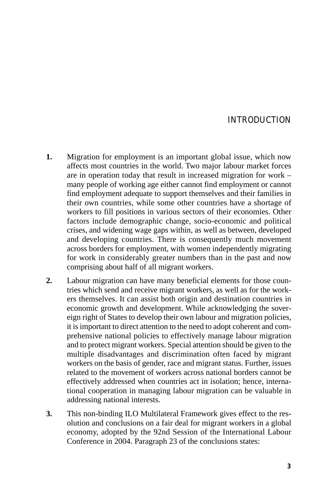#### INTRODUCTION

- **1.** Migration for employment is an important global issue, which now affects most countries in the world. Two major labour market forces are in operation today that result in increased migration for work – many people of working age either cannot find employment or cannot find employment adequate to support themselves and their families in their own countries, while some other countries have a shortage of workers to fill positions in various sectors of their economies. Other factors include demographic change, socio-economic and political crises, and widening wage gaps within, as well as between, developed and developing countries. There is consequently much movement across borders for employment, with women independently migrating for work in considerably greater numbers than in the past and now comprising about half of all migrant workers.
- **2.** Labour migration can have many beneficial elements for those countries which send and receive migrant workers, as well as for the workers themselves. It can assist both origin and destination countries in economic growth and development. While acknowledging the sovereign right of States to develop their own labour and migration policies, it is important to direct attention to the need to adopt coherent and comprehensive national policies to effectively manage labour migration and to protect migrant workers. Special attention should be given to the multiple disadvantages and discrimination often faced by migrant workers on the basis of gender, race and migrant status. Further, issues related to the movement of workers across national borders cannot be effectively addressed when countries act in isolation; hence, international cooperation in managing labour migration can be valuable in addressing national interests.
- **3.** This non-binding ILO Multilateral Framework gives effect to the resolution and conclusions on a fair deal for migrant workers in a global economy, adopted by the 92nd Session of the International Labour Conference in 2004. Paragraph 23 of the conclusions states: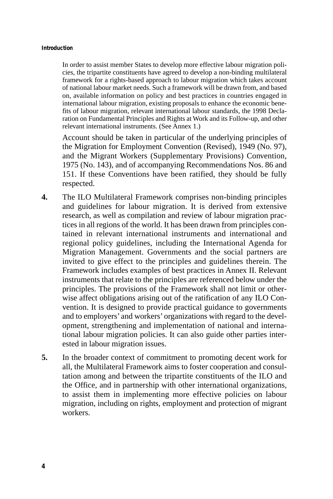#### **Introduction**

In order to assist member States to develop more effective labour migration policies, the tripartite constituents have agreed to develop a non-binding multilateral framework for a rights-based approach to labour migration which takes account of national labour market needs. Such a framework will be drawn from, and based on, available information on policy and best practices in countries engaged in international labour migration, existing proposals to enhance the economic benefits of labour migration, relevant international labour standards, the 1998 Declaration on Fundamental Principles and Rights at Work and its Follow-up, and other relevant international instruments. (See Annex 1.)

Account should be taken in particular of the underlying principles of the Migration for Employment Convention (Revised), 1949 (No. 97), and the Migrant Workers (Supplementary Provisions) Convention, 1975 (No. 143), and of accompanying Recommendations Nos. 86 and 151. If these Conventions have been ratified, they should be fully respected.

- **4.** The ILO Multilateral Framework comprises non-binding principles and guidelines for labour migration. It is derived from extensive research, as well as compilation and review of labour migration practices in all regions of the world. It has been drawn from principles contained in relevant international instruments and international and regional policy guidelines, including the International Agenda for Migration Management. Governments and the social partners are invited to give effect to the principles and guidelines therein. The Framework includes examples of best practices in Annex II. Relevant instruments that relate to the principles are referenced below under the principles. The provisions of the Framework shall not limit or otherwise affect obligations arising out of the ratification of any ILO Convention. It is designed to provide practical guidance to governments and to employers' and workers' organizations with regard to the development, strengthening and implementation of national and international labour migration policies. It can also guide other parties interested in labour migration issues.
- **5.** In the broader context of commitment to promoting decent work for all, the Multilateral Framework aims to foster cooperation and consultation among and between the tripartite constituents of the ILO and the Office, and in partnership with other international organizations, to assist them in implementing more effective policies on labour migration, including on rights, employment and protection of migrant workers.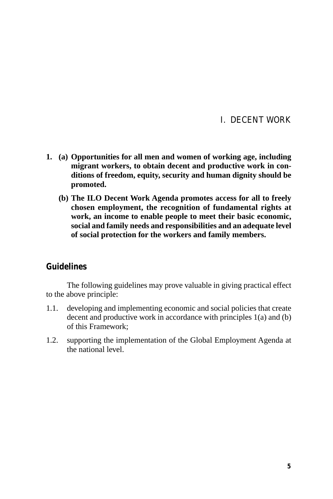#### I. DECENT WORK

- **1. (a) Opportunities for all men and women of working age, including migrant workers, to obtain decent and productive work in conditions of freedom, equity, security and human dignity should be promoted.** 
	- **(b) The ILO Decent Work Agenda promotes access for all to freely chosen employment, the recognition of fundamental rights at work, an income to enable people to meet their basic economic, social and family needs and responsibilities and an adequate level of social protection for the workers and family members.**

#### **Guidelines**

- 1.1. developing and implementing economic and social policies that create decent and productive work in accordance with principles 1(a) and (b) of this Framework;
- 1.2. supporting the implementation of the Global Employment Agenda at the national level.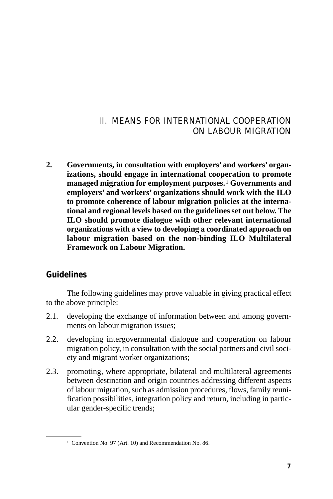## II. MEANS FOR INTERNATIONAL COOPERATION ON LABOUR MIGRATION

**2. Governments, in consultation with employers' and workers' organizations, should engage in international cooperation to promote managed migration for employment purposes.** <sup>1</sup>**Governments and employers' and workers' organizations should work with the ILO to promote coherence of labour migration policies at the international and regional levels based on the guidelines set out below. The ILO should promote dialogue with other relevant international organizations with a view to developing a coordinated approach on labour migration based on the non-binding ILO Multilateral Framework on Labour Migration.** 

#### **Guidelines**

- 2.1. developing the exchange of information between and among governments on labour migration issues;
- 2.2. developing intergovernmental dialogue and cooperation on labour migration policy, in consultation with the social partners and civil society and migrant worker organizations;
- 2.3. promoting, where appropriate, bilateral and multilateral agreements between destination and origin countries addressing different aspects of labour migration, such as admission procedures, flows, family reunification possibilities, integration policy and return, including in particular gender-specific trends;

<sup>1</sup> Convention No. 97 (Art. 10) and Recommendation No. 86.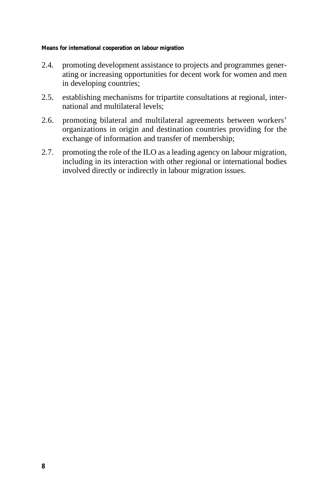**Means for international cooperation on labour migration** 

- 2.4. promoting development assistance to projects and programmes generating or increasing opportunities for decent work for women and men in developing countries;
- 2.5. establishing mechanisms for tripartite consultations at regional, international and multilateral levels;
- 2.6. promoting bilateral and multilateral agreements between workers' organizations in origin and destination countries providing for the exchange of information and transfer of membership;
- 2.7. promoting the role of the ILO as a leading agency on labour migration, including in its interaction with other regional or international bodies involved directly or indirectly in labour migration issues.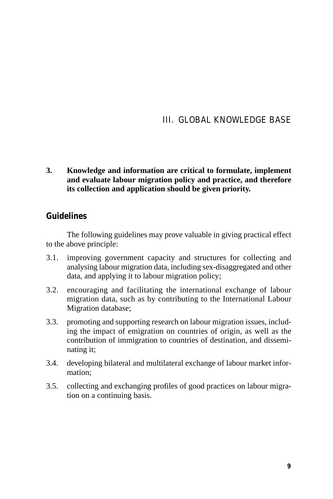## III. GLOBAL KNOWLEDGE BASE

**3. Knowledge and information are critical to formulate, implement and evaluate labour migration policy and practice, and therefore its collection and application should be given priority.** 

#### **Guidelines**

- 3.1. improving government capacity and structures for collecting and analysing labour migration data, including sex-disaggregated and other data, and applying it to labour migration policy;
- 3.2. encouraging and facilitating the international exchange of labour migration data, such as by contributing to the International Labour Migration database;
- 3.3. promoting and supporting research on labour migration issues, including the impact of emigration on countries of origin, as well as the contribution of immigration to countries of destination, and disseminating it;
- 3.4. developing bilateral and multilateral exchange of labour market information;
- 3.5. collecting and exchanging profiles of good practices on labour migration on a continuing basis.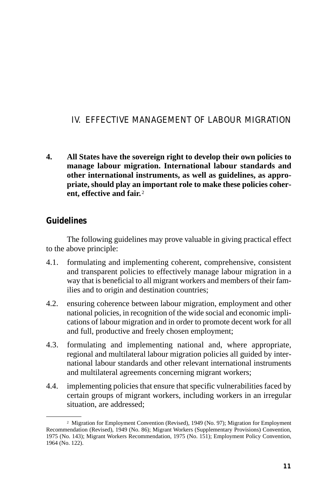## IV. EFFECTIVE MANAGEMENT OF LABOUR MIGRATION

**4. All States have the sovereign right to develop their own policies to manage labour migration. International labour standards and other international instruments, as well as guidelines, as appropriate, should play an important role to make these policies coherent, effective and fair.** <sup>2</sup>

#### **Guidelines**

- 4.1. formulating and implementing coherent, comprehensive, consistent and transparent policies to effectively manage labour migration in a way that is beneficial to all migrant workers and members of their families and to origin and destination countries;
- 4.2. ensuring coherence between labour migration, employment and other national policies, in recognition of the wide social and economic implications of labour migration and in order to promote decent work for all and full, productive and freely chosen employment;
- 4.3. formulating and implementing national and, where appropriate, regional and multilateral labour migration policies all guided by international labour standards and other relevant international instruments and multilateral agreements concerning migrant workers;
- 4.4. implementing policies that ensure that specific vulnerabilities faced by certain groups of migrant workers, including workers in an irregular situation, are addressed;

<sup>2</sup> Migration for Employment Convention (Revised), 1949 (No. 97); Migration for Employment Recommendation (Revised), 1949 (No. 86); Migrant Workers (Supplementary Provisions) Convention, 1975 (No. 143); Migrant Workers Recommendation, 1975 (No. 151); Employment Policy Convention, 1964 (No. 122).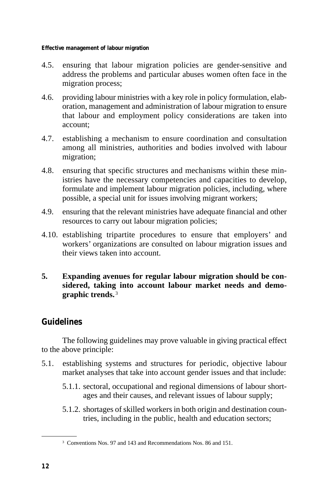**Effective management of labour migration** 

- 4.5. ensuring that labour migration policies are gender-sensitive and address the problems and particular abuses women often face in the migration process;
- 4.6. providing labour ministries with a key role in policy formulation, elaboration, management and administration of labour migration to ensure that labour and employment policy considerations are taken into account;
- 4.7. establishing a mechanism to ensure coordination and consultation among all ministries, authorities and bodies involved with labour migration;
- 4.8. ensuring that specific structures and mechanisms within these ministries have the necessary competencies and capacities to develop, formulate and implement labour migration policies, including, where possible, a special unit for issues involving migrant workers;
- 4.9. ensuring that the relevant ministries have adequate financial and other resources to carry out labour migration policies;
- 4.10. establishing tripartite procedures to ensure that employers' and workers' organizations are consulted on labour migration issues and their views taken into account.
- **5. Expanding avenues for regular labour migration should be considered, taking into account labour market needs and demographic trends.** <sup>3</sup>

#### **Guidelines**

- 5.1. establishing systems and structures for periodic, objective labour market analyses that take into account gender issues and that include:
	- 5.1.1. sectoral, occupational and regional dimensions of labour shortages and their causes, and relevant issues of labour supply;
	- 5.1.2. shortages of skilled workers in both origin and destination countries, including in the public, health and education sectors;

<sup>3</sup> Conventions Nos. 97 and 143 and Recommendations Nos. 86 and 151.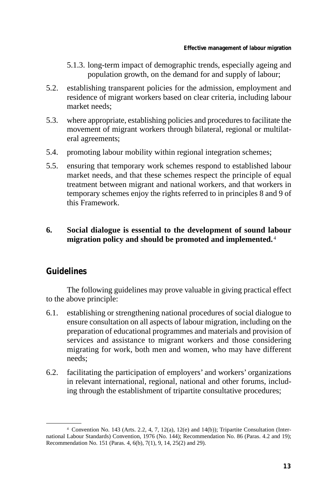- 5.1.3. long-term impact of demographic trends, especially ageing and population growth, on the demand for and supply of labour;
- 5.2. establishing transparent policies for the admission, employment and residence of migrant workers based on clear criteria, including labour market needs;
- 5.3. where appropriate, establishing policies and procedures to facilitate the movement of migrant workers through bilateral, regional or multilateral agreements;
- 5.4. promoting labour mobility within regional integration schemes;
- 5.5. ensuring that temporary work schemes respond to established labour market needs, and that these schemes respect the principle of equal treatment between migrant and national workers, and that workers in temporary schemes enjoy the rights referred to in principles 8 and 9 of this Framework.

#### **6. Social dialogue is essential to the development of sound labour migration policy and should be promoted and implemented.** <sup>4</sup>

#### **Guidelines**

- 6.1. establishing or strengthening national procedures of social dialogue to ensure consultation on all aspects of labour migration, including on the preparation of educational programmes and materials and provision of services and assistance to migrant workers and those considering migrating for work, both men and women, who may have different needs;
- 6.2. facilitating the participation of employers' and workers' organizations in relevant international, regional, national and other forums, including through the establishment of tripartite consultative procedures;

<sup>4</sup> Convention No. 143 (Arts. 2.2, 4, 7, 12(a), 12(e) and 14(b)); Tripartite Consultation (International Labour Standards) Convention, 1976 (No. 144); Recommendation No. 86 (Paras. 4.2 and 19); Recommendation No. 151 (Paras. 4, 6(b), 7(1), 9, 14, 25(2) and 29).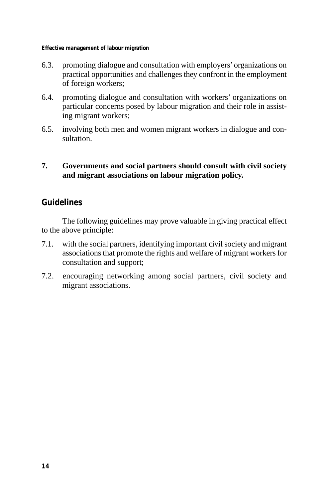**Effective management of labour migration** 

- 6.3. promoting dialogue and consultation with employers' organizations on practical opportunities and challenges they confront in the employment of foreign workers;
- 6.4. promoting dialogue and consultation with workers' organizations on particular concerns posed by labour migration and their role in assisting migrant workers;
- 6.5. involving both men and women migrant workers in dialogue and consultation.

#### **7. Governments and social partners should consult with civil society and migrant associations on labour migration policy.**

#### **Guidelines**

- 7.1. with the social partners, identifying important civil society and migrant associations that promote the rights and welfare of migrant workers for consultation and support;
- 7.2. encouraging networking among social partners, civil society and migrant associations.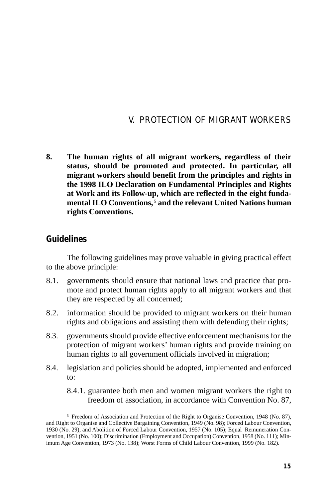#### V. PROTECTION OF MIGRANT WORKERS

**8. The human rights of all migrant workers, regardless of their status, should be promoted and protected. In particular, all migrant workers should benefit from the principles and rights in the 1998 ILO Declaration on Fundamental Principles and Rights at Work and its Follow-up, which are reflected in the eight fundamental ILO Conventions,** <sup>5</sup>**and the relevant United Nations human rights Conventions.** 

#### **Guidelines**

The following guidelines may prove valuable in giving practical effect to the above principle:

- 8.1. governments should ensure that national laws and practice that promote and protect human rights apply to all migrant workers and that they are respected by all concerned;
- 8.2. information should be provided to migrant workers on their human rights and obligations and assisting them with defending their rights;
- 8.3. governments should provide effective enforcement mechanisms for the protection of migrant workers' human rights and provide training on human rights to all government officials involved in migration;
- 8.4. legislation and policies should be adopted, implemented and enforced to:

8.4.1. guarantee both men and women migrant workers the right to freedom of association, in accordance with Convention No. 87,

<sup>5</sup> Freedom of Association and Protection of the Right to Organise Convention, 1948 (No. 87), and Right to Organise and Collective Bargaining Convention, 1949 (No. 98); Forced Labour Convention, 1930 (No. 29), and Abolition of Forced Labour Convention, 1957 (No. 105); Equal Remuneration Convention, 1951 (No. 100); Discrimination (Employment and Occupation) Convention, 1958 (No. 111); Minimum Age Convention, 1973 (No. 138); Worst Forms of Child Labour Convention, 1999 (No. 182).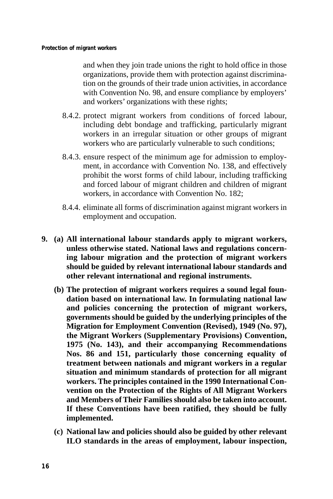and when they join trade unions the right to hold office in those organizations, provide them with protection against discrimination on the grounds of their trade union activities, in accordance with Convention No. 98, and ensure compliance by employers' and workers' organizations with these rights;

- 8.4.2. protect migrant workers from conditions of forced labour, including debt bondage and trafficking, particularly migrant workers in an irregular situation or other groups of migrant workers who are particularly vulnerable to such conditions;
- 8.4.3. ensure respect of the minimum age for admission to employment, in accordance with Convention No. 138, and effectively prohibit the worst forms of child labour, including trafficking and forced labour of migrant children and children of migrant workers, in accordance with Convention No. 182;
- 8.4.4. eliminate all forms of discrimination against migrant workers in employment and occupation.
- **9. (a) All international labour standards apply to migrant workers, unless otherwise stated. National laws and regulations concerning labour migration and the protection of migrant workers should be guided by relevant international labour standards and other relevant international and regional instruments.** 
	- **(b) The protection of migrant workers requires a sound legal foundation based on international law. In formulating national law and policies concerning the protection of migrant workers, governments should be guided by the underlying principles of the Migration for Employment Convention (Revised), 1949 (No. 97), the Migrant Workers (Supplementary Provisions) Convention, 1975 (No. 143), and their accompanying Recommendations Nos. 86 and 151, particularly those concerning equality of treatment between nationals and migrant workers in a regular situation and minimum standards of protection for all migrant workers. The principles contained in the 1990 International Convention on the Protection of the Rights of All Migrant Workers and Members of Their Families should also be taken into account. If these Conventions have been ratified, they should be fully implemented.**
	- **(c) National law and policies should also be guided by other relevant ILO standards in the areas of employment, labour inspection,**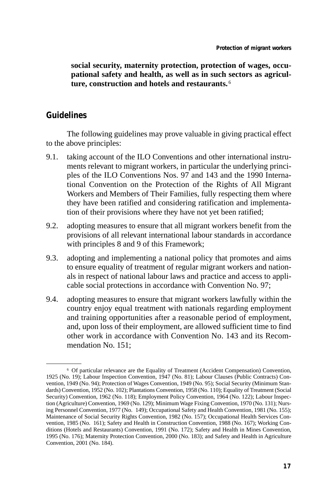**social security, maternity protection, protection of wages, occupational safety and health, as well as in such sectors as agriculture, construction and hotels and restaurants.** <sup>6</sup>

#### **Guidelines**

- 9.1. taking account of the ILO Conventions and other international instruments relevant to migrant workers, in particular the underlying principles of the ILO Conventions Nos. 97 and 143 and the 1990 International Convention on the Protection of the Rights of All Migrant Workers and Members of Their Families, fully respecting them where they have been ratified and considering ratification and implementation of their provisions where they have not yet been ratified;
- 9.2. adopting measures to ensure that all migrant workers benefit from the provisions of all relevant international labour standards in accordance with principles 8 and 9 of this Framework;
- 9.3. adopting and implementing a national policy that promotes and aims to ensure equality of treatment of regular migrant workers and nationals in respect of national labour laws and practice and access to applicable social protections in accordance with Convention No. 97;
- 9.4. adopting measures to ensure that migrant workers lawfully within the country enjoy equal treatment with nationals regarding employment and training opportunities after a reasonable period of employment, and, upon loss of their employment, are allowed sufficient time to find other work in accordance with Convention No. 143 and its Recommendation No. 151;

<sup>6</sup> Of particular relevance are the Equality of Treatment (Accident Compensation) Convention, 1925 (No. 19); Labour Inspection Convention, 1947 (No. 81); Labour Clauses (Public Contracts) Convention, 1949 (No. 94); Protection of Wages Convention, 1949 (No. 95); Social Security (Minimum Standards) Convention, 1952 (No. 102); Plantations Convention, 1958 (No. 110); Equality of Treatment (Social Security) Convention, 1962 (No. 118); Employment Policy Convention, 1964 (No. 122); Labour Inspection (Agriculture) Convention, 1969 (No. 129); Minimum Wage Fixing Convention, 1970 (No. 131); Nursing Personnel Convention, 1977 (No. 149); Occupational Safety and Health Convention, 1981 (No. 155); Maintenance of Social Security Rights Convention, 1982 (No. 157); Occupational Health Services Convention, 1985 (No. 161); Safety and Health in Construction Convention, 1988 (No. 167); Working Conditions (Hotels and Restaurants) Convention, 1991 (No. 172); Safety and Health in Mines Convention, 1995 (No. 176); Maternity Protection Convention, 2000 (No. 183); and Safety and Health in Agriculture Convention, 2001 (No. 184).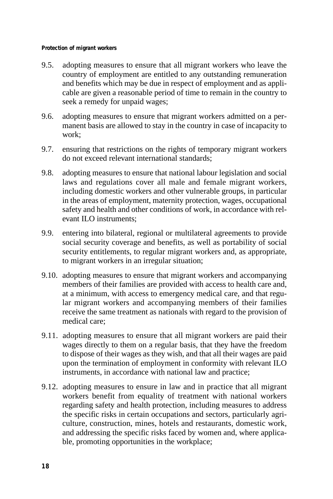#### **Protection of migrant workers**

- 9.5. adopting measures to ensure that all migrant workers who leave the country of employment are entitled to any outstanding remuneration and benefits which may be due in respect of employment and as applicable are given a reasonable period of time to remain in the country to seek a remedy for unpaid wages;
- 9.6. adopting measures to ensure that migrant workers admitted on a permanent basis are allowed to stay in the country in case of incapacity to work;
- 9.7. ensuring that restrictions on the rights of temporary migrant workers do not exceed relevant international standards;
- 9.8. adopting measures to ensure that national labour legislation and social laws and regulations cover all male and female migrant workers, including domestic workers and other vulnerable groups, in particular in the areas of employment, maternity protection, wages, occupational safety and health and other conditions of work, in accordance with relevant ILO instruments;
- 9.9. entering into bilateral, regional or multilateral agreements to provide social security coverage and benefits, as well as portability of social security entitlements, to regular migrant workers and, as appropriate, to migrant workers in an irregular situation;
- 9.10. adopting measures to ensure that migrant workers and accompanying members of their families are provided with access to health care and, at a minimum, with access to emergency medical care, and that regular migrant workers and accompanying members of their families receive the same treatment as nationals with regard to the provision of medical care;
- 9.11. adopting measures to ensure that all migrant workers are paid their wages directly to them on a regular basis, that they have the freedom to dispose of their wages as they wish, and that all their wages are paid upon the termination of employment in conformity with relevant ILO instruments, in accordance with national law and practice;
- 9.12. adopting measures to ensure in law and in practice that all migrant workers benefit from equality of treatment with national workers regarding safety and health protection, including measures to address the specific risks in certain occupations and sectors, particularly agriculture, construction, mines, hotels and restaurants, domestic work, and addressing the specific risks faced by women and, where applicable, promoting opportunities in the workplace;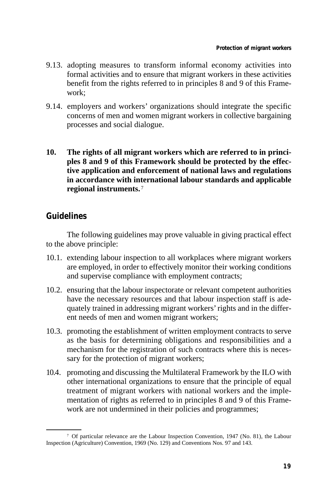- 9.13. adopting measures to transform informal economy activities into formal activities and to ensure that migrant workers in these activities benefit from the rights referred to in principles 8 and 9 of this Framework;
- 9.14. employers and workers' organizations should integrate the specific concerns of men and women migrant workers in collective bargaining processes and social dialogue.
- **10. The rights of all migrant workers which are referred to in principles 8 and 9 of this Framework should be protected by the effective application and enforcement of national laws and regulations in accordance with international labour standards and applicable regional instruments.** <sup>7</sup>

#### **Guidelines**

- 10.1. extending labour inspection to all workplaces where migrant workers are employed, in order to effectively monitor their working conditions and supervise compliance with employment contracts;
- 10.2. ensuring that the labour inspectorate or relevant competent authorities have the necessary resources and that labour inspection staff is adequately trained in addressing migrant workers' rights and in the different needs of men and women migrant workers;
- 10.3. promoting the establishment of written employment contracts to serve as the basis for determining obligations and responsibilities and a mechanism for the registration of such contracts where this is necessary for the protection of migrant workers;
- 10.4. promoting and discussing the Multilateral Framework by the ILO with other international organizations to ensure that the principle of equal treatment of migrant workers with national workers and the implementation of rights as referred to in principles 8 and 9 of this Framework are not undermined in their policies and programmes;

<sup>7</sup> Of particular relevance are the Labour Inspection Convention, 1947 (No. 81), the Labour Inspection (Agriculture) Convention, 1969 (No. 129) and Conventions Nos. 97 and 143.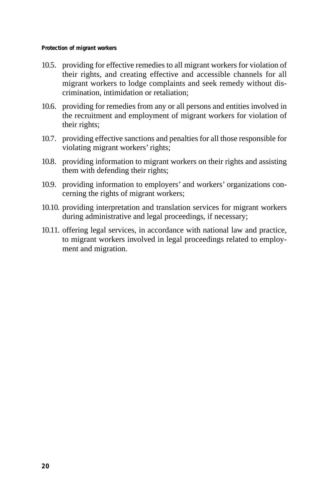- 10.5. providing for effective remedies to all migrant workers for violation of their rights, and creating effective and accessible channels for all migrant workers to lodge complaints and seek remedy without discrimination, intimidation or retaliation;
- 10.6. providing for remedies from any or all persons and entities involved in the recruitment and employment of migrant workers for violation of their rights;
- 10.7. providing effective sanctions and penalties for all those responsible for violating migrant workers' rights;
- 10.8. providing information to migrant workers on their rights and assisting them with defending their rights;
- 10.9. providing information to employers' and workers' organizations concerning the rights of migrant workers;
- 10.10. providing interpretation and translation services for migrant workers during administrative and legal proceedings, if necessary;
- 10.11. offering legal services, in accordance with national law and practice, to migrant workers involved in legal proceedings related to employment and migration.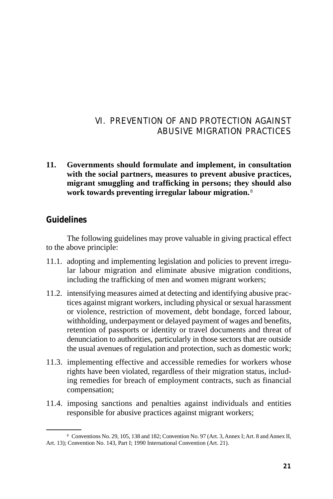## VI. PREVENTION OF AND PROTECTION AGAINST ABUSIVE MIGRATION PRACTICES

**11. Governments should formulate and implement, in consultation with the social partners, measures to prevent abusive practices, migrant smuggling and trafficking in persons; they should also work towards preventing irregular labour migration.** <sup>8</sup>

#### **Guidelines**

- 11.1. adopting and implementing legislation and policies to prevent irregular labour migration and eliminate abusive migration conditions, including the trafficking of men and women migrant workers;
- 11.2. intensifying measures aimed at detecting and identifying abusive practices against migrant workers, including physical or sexual harassment or violence, restriction of movement, debt bondage, forced labour, withholding, underpayment or delayed payment of wages and benefits, retention of passports or identity or travel documents and threat of denunciation to authorities, particularly in those sectors that are outside the usual avenues of regulation and protection, such as domestic work;
- 11.3. implementing effective and accessible remedies for workers whose rights have been violated, regardless of their migration status, including remedies for breach of employment contracts, such as financial compensation;
- 11.4. imposing sanctions and penalties against individuals and entities responsible for abusive practices against migrant workers;

<sup>8</sup> Conventions No. 29, 105, 138 and 182; Convention No. 97 (Art. 3, Annex I; Art. 8 and Annex II, Art. 13); Convention No. 143, Part I; 1990 International Convention (Art. 21).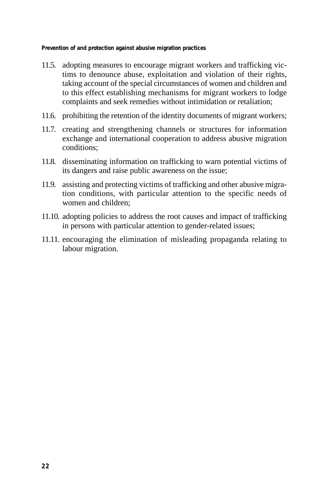**Prevention of and protection against abusive migration practices** 

- 11.5. adopting measures to encourage migrant workers and trafficking victims to denounce abuse, exploitation and violation of their rights, taking account of the special circumstances of women and children and to this effect establishing mechanisms for migrant workers to lodge complaints and seek remedies without intimidation or retaliation;
- 11.6. prohibiting the retention of the identity documents of migrant workers;
- 11.7. creating and strengthening channels or structures for information exchange and international cooperation to address abusive migration conditions;
- 11.8. disseminating information on trafficking to warn potential victims of its dangers and raise public awareness on the issue;
- 11.9. assisting and protecting victims of trafficking and other abusive migration conditions, with particular attention to the specific needs of women and children;
- 11.10. adopting policies to address the root causes and impact of trafficking in persons with particular attention to gender-related issues;
- 11.11. encouraging the elimination of misleading propaganda relating to labour migration.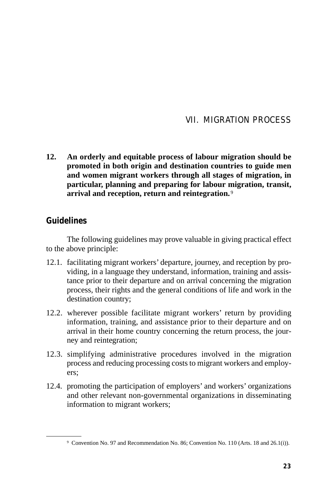#### VII. MIGRATION PROCESS

**12. An orderly and equitable process of labour migration should be promoted in both origin and destination countries to guide men and women migrant workers through all stages of migration, in particular, planning and preparing for labour migration, transit, arrival and reception, return and reintegration.** <sup>9</sup>

#### **Guidelines**

- 12.1. facilitating migrant workers' departure, journey, and reception by providing, in a language they understand, information, training and assistance prior to their departure and on arrival concerning the migration process, their rights and the general conditions of life and work in the destination country;
- 12.2. wherever possible facilitate migrant workers' return by providing information, training, and assistance prior to their departure and on arrival in their home country concerning the return process, the journey and reintegration;
- 12.3. simplifying administrative procedures involved in the migration process and reducing processing costs to migrant workers and employers;
- 12.4. promoting the participation of employers' and workers' organizations and other relevant non-governmental organizations in disseminating information to migrant workers;

<sup>9</sup> Convention No. 97 and Recommendation No. 86; Convention No. 110 (Arts. 18 and 26.1(i)).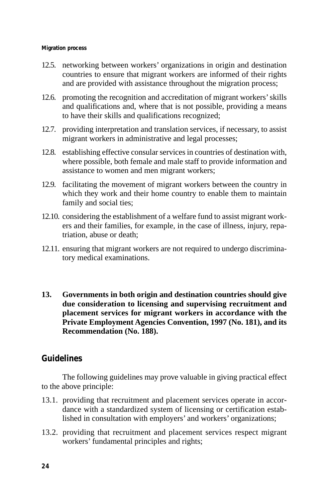#### **Migration process**

- 12.5. networking between workers' organizations in origin and destination countries to ensure that migrant workers are informed of their rights and are provided with assistance throughout the migration process;
- 12.6. promoting the recognition and accreditation of migrant workers' skills and qualifications and, where that is not possible, providing a means to have their skills and qualifications recognized;
- 12.7. providing interpretation and translation services, if necessary, to assist migrant workers in administrative and legal processes;
- 12.8. establishing effective consular services in countries of destination with, where possible, both female and male staff to provide information and assistance to women and men migrant workers;
- 12.9. facilitating the movement of migrant workers between the country in which they work and their home country to enable them to maintain family and social ties;
- 12.10. considering the establishment of a welfare fund to assist migrant workers and their families, for example, in the case of illness, injury, repatriation, abuse or death;
- 12.11. ensuring that migrant workers are not required to undergo discriminatory medical examinations.
- **13. Governments in both origin and destination countries should give due consideration to licensing and supervising recruitment and placement services for migrant workers in accordance with the Private Employment Agencies Convention, 1997 (No. 181), and its Recommendation (No. 188).**

#### **Guidelines**

- 13.1. providing that recruitment and placement services operate in accordance with a standardized system of licensing or certification established in consultation with employers' and workers' organizations;
- 13.2. providing that recruitment and placement services respect migrant workers' fundamental principles and rights;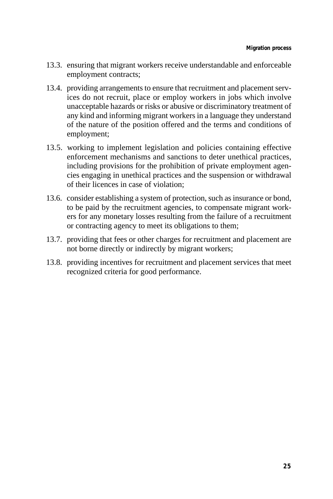- 13.3. ensuring that migrant workers receive understandable and enforceable employment contracts;
- 13.4. providing arrangements to ensure that recruitment and placement services do not recruit, place or employ workers in jobs which involve unacceptable hazards or risks or abusive or discriminatory treatment of any kind and informing migrant workers in a language they understand of the nature of the position offered and the terms and conditions of employment;
- 13.5. working to implement legislation and policies containing effective enforcement mechanisms and sanctions to deter unethical practices, including provisions for the prohibition of private employment agencies engaging in unethical practices and the suspension or withdrawal of their licences in case of violation;
- 13.6. consider establishing a system of protection, such as insurance or bond, to be paid by the recruitment agencies, to compensate migrant workers for any monetary losses resulting from the failure of a recruitment or contracting agency to meet its obligations to them;
- 13.7. providing that fees or other charges for recruitment and placement are not borne directly or indirectly by migrant workers;
- 13.8. providing incentives for recruitment and placement services that meet recognized criteria for good performance.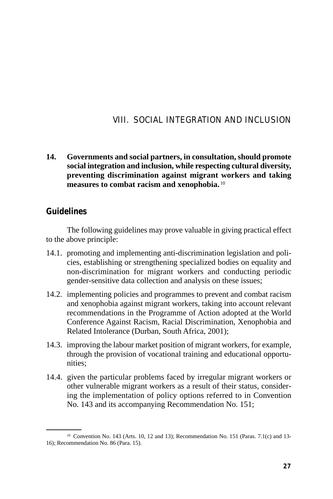## VIII. SOCIAL INTEGRATION AND INCLUSION

**14. Governments and social partners, in consultation, should promote social integration and inclusion, while respecting cultural diversity, preventing discrimination against migrant workers and taking measures to combat racism and xenophobia.** <sup>10</sup>

#### **Guidelines**

The following guidelines may prove valuable in giving practical effect to the above principle:

- 14.1. promoting and implementing anti-discrimination legislation and policies, establishing or strengthening specialized bodies on equality and non-discrimination for migrant workers and conducting periodic gender-sensitive data collection and analysis on these issues;
- 14.2. implementing policies and programmes to prevent and combat racism and xenophobia against migrant workers, taking into account relevant recommendations in the Programme of Action adopted at the World Conference Against Racism, Racial Discrimination, Xenophobia and Related Intolerance (Durban, South Africa, 2001);
- 14.3. improving the labour market position of migrant workers, for example, through the provision of vocational training and educational opportunities;
- 14.4. given the particular problems faced by irregular migrant workers or other vulnerable migrant workers as a result of their status, considering the implementation of policy options referred to in Convention No. 143 and its accompanying Recommendation No. 151;

<sup>10</sup> Convention No. 143 (Arts. 10, 12 and 13); Recommendation No. 151 (Paras. 7.1(c) and 13 16); Recommendation No. 86 (Para. 15).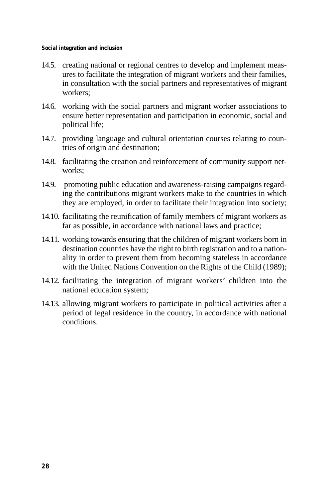**Social integration and inclusion** 

- 14.5. creating national or regional centres to develop and implement measures to facilitate the integration of migrant workers and their families, in consultation with the social partners and representatives of migrant workers;
- 14.6. working with the social partners and migrant worker associations to ensure better representation and participation in economic, social and political life;
- 14.7. providing language and cultural orientation courses relating to countries of origin and destination;
- 14.8. facilitating the creation and reinforcement of community support networks:
- 14.9. promoting public education and awareness-raising campaigns regarding the contributions migrant workers make to the countries in which they are employed, in order to facilitate their integration into society;
- 14.10. facilitating the reunification of family members of migrant workers as far as possible, in accordance with national laws and practice;
- 14.11. working towards ensuring that the children of migrant workers born in destination countries have the right to birth registration and to a nationality in order to prevent them from becoming stateless in accordance with the United Nations Convention on the Rights of the Child (1989);
- 14.12. facilitating the integration of migrant workers' children into the national education system;
- 14.13. allowing migrant workers to participate in political activities after a period of legal residence in the country, in accordance with national conditions.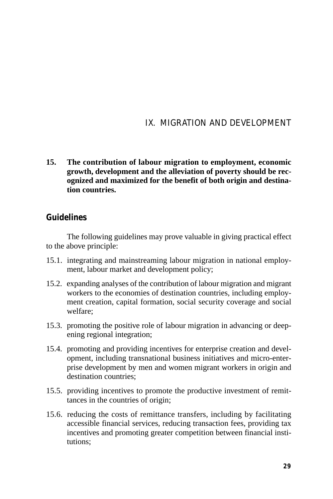## IX. MIGRATION AND DEVELOPMENT

**15. The contribution of labour migration to employment, economic growth, development and the alleviation of poverty should be recognized and maximized for the benefit of both origin and destination countries.** 

#### **Guidelines**

The following guidelines may prove valuable in giving practical effect to the above principle:

- 15.1. integrating and mainstreaming labour migration in national employment, labour market and development policy;
- 15.2. expanding analyses of the contribution of labour migration and migrant workers to the economies of destination countries, including employment creation, capital formation, social security coverage and social welfare;
- 15.3. promoting the positive role of labour migration in advancing or deepening regional integration;
- 15.4. promoting and providing incentives for enterprise creation and development, including transnational business initiatives and micro-enterprise development by men and women migrant workers in origin and destination countries;
- 15.5. providing incentives to promote the productive investment of remittances in the countries of origin;
- 15.6. reducing the costs of remittance transfers, including by facilitating accessible financial services, reducing transaction fees, providing tax incentives and promoting greater competition between financial institutions;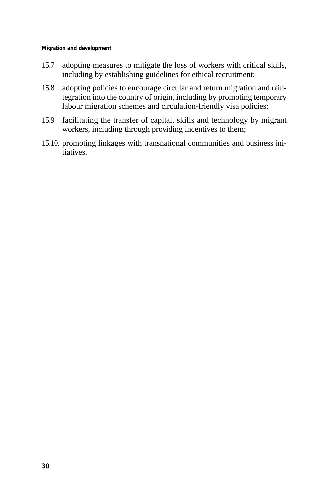**Migration and development** 

- 15.7. adopting measures to mitigate the loss of workers with critical skills, including by establishing guidelines for ethical recruitment;
- 15.8. adopting policies to encourage circular and return migration and reintegration into the country of origin, including by promoting temporary labour migration schemes and circulation-friendly visa policies;
- 15.9. facilitating the transfer of capital, skills and technology by migrant workers, including through providing incentives to them;
- 15.10. promoting linkages with transnational communities and business initiatives.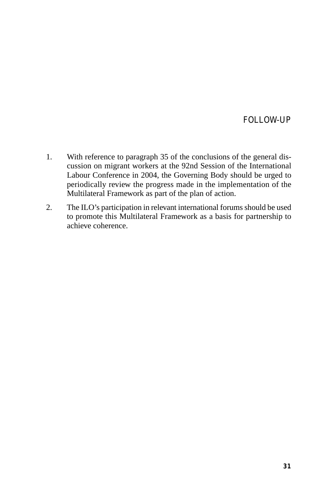#### FOLLOW-UP

- 1. With reference to paragraph 35 of the conclusions of the general discussion on migrant workers at the 92nd Session of the International Labour Conference in 2004, the Governing Body should be urged to periodically review the progress made in the implementation of the Multilateral Framework as part of the plan of action.
- 2. The ILO's participation in relevant international forums should be used to promote this Multilateral Framework as a basis for partnership to achieve coherence.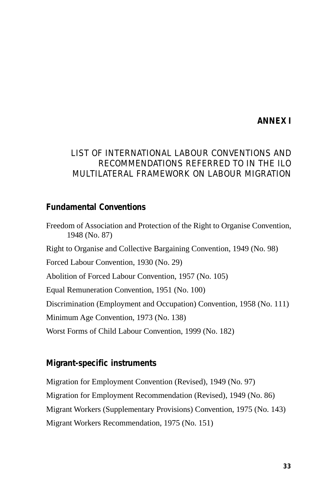## **ANNEX I**

## LIST OF INTERNATIONAL LABOUR CONVENTIONS AND RECOMMENDATIONS REFERRED TO IN THE ILO MULTILATERAL FRAMEWORK ON LABOUR MIGRATION

## **Fundamental Conventions**

Freedom of Association and Protection of the Right to Organise Convention, 1948 (No. 87) Right to Organise and Collective Bargaining Convention, 1949 (No. 98) Forced Labour Convention, 1930 (No. 29) Abolition of Forced Labour Convention, 1957 (No. 105) Equal Remuneration Convention, 1951 (No. 100) Discrimination (Employment and Occupation) Convention, 1958 (No. 111) Minimum Age Convention, 1973 (No. 138) Worst Forms of Child Labour Convention, 1999 (No. 182)

#### **Migrant-specific instruments**

Migration for Employment Convention (Revised), 1949 (No. 97) Migration for Employment Recommendation (Revised), 1949 (No. 86) Migrant Workers (Supplementary Provisions) Convention, 1975 (No. 143) Migrant Workers Recommendation, 1975 (No. 151)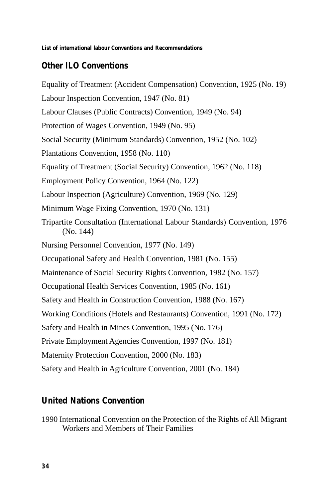**List of international labour Conventions and Recommendations** 

# **Other ILO Conventions**

Equality of Treatment (Accident Compensation) Convention, 1925 (No. 19) Labour Inspection Convention, 1947 (No. 81) Labour Clauses (Public Contracts) Convention, 1949 (No. 94) Protection of Wages Convention, 1949 (No. 95) Social Security (Minimum Standards) Convention, 1952 (No. 102) Plantations Convention, 1958 (No. 110) Equality of Treatment (Social Security) Convention, 1962 (No. 118) Employment Policy Convention, 1964 (No. 122) Labour Inspection (Agriculture) Convention, 1969 (No. 129) Minimum Wage Fixing Convention, 1970 (No. 131) Tripartite Consultation (International Labour Standards) Convention, 1976 (No. 144) Nursing Personnel Convention, 1977 (No. 149) Occupational Safety and Health Convention, 1981 (No. 155) Maintenance of Social Security Rights Convention, 1982 (No. 157) Occupational Health Services Convention, 1985 (No. 161) Safety and Health in Construction Convention, 1988 (No. 167) Working Conditions (Hotels and Restaurants) Convention, 1991 (No. 172) Safety and Health in Mines Convention, 1995 (No. 176) Private Employment Agencies Convention, 1997 (No. 181) Maternity Protection Convention, 2000 (No. 183) Safety and Health in Agriculture Convention, 2001 (No. 184)

## **United Nations Convention**

1990 International Convention on the Protection of the Rights of All Migrant Workers and Members of Their Families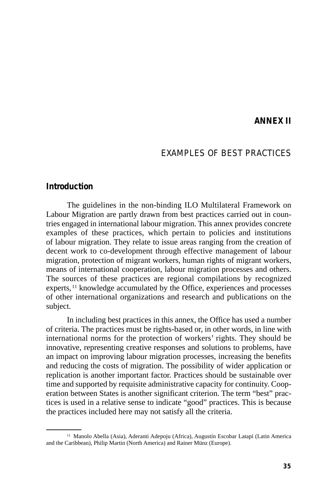#### **ANNEX II**

#### EXAMPLES OF BEST PRACTICES

#### **Introduction**

The guidelines in the non-binding ILO Multilateral Framework on Labour Migration are partly drawn from best practices carried out in countries engaged in international labour migration. This annex provides concrete examples of these practices, which pertain to policies and institutions of labour migration. They relate to issue areas ranging from the creation of decent work to co-development through effective management of labour migration, protection of migrant workers, human rights of migrant workers, means of international cooperation, labour migration processes and others. The sources of these practices are regional compilations by recognized experts, 11 knowledge accumulated by the Office, experiences and processes of other international organizations and research and publications on the subject.

In including best practices in this annex, the Office has used a number of criteria. The practices must be rights-based or, in other words, in line with international norms for the protection of workers' rights. They should be innovative, representing creative responses and solutions to problems, have an impact on improving labour migration processes, increasing the benefits and reducing the costs of migration. The possibility of wider application or replication is another important factor. Practices should be sustainable over time and supported by requisite administrative capacity for continuity. Cooperation between States is another significant criterion. The term "best" practices is used in a relative sense to indicate "good" practices. This is because the practices included here may not satisfy all the criteria.

<sup>11</sup> Manolo Abella (Asia), Aderanti Adepoju (Africa), Augustín Escobar Latapí (Latin America and the Caribbean), Philip Martin (North America) and Rainer Münz (Europe).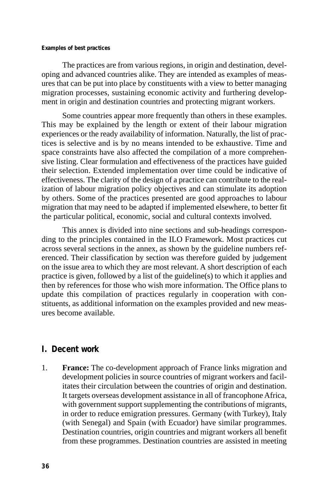#### **Examples of best practices**

The practices are from various regions, in origin and destination, developing and advanced countries alike. They are intended as examples of measures that can be put into place by constituents with a view to better managing migration processes, sustaining economic activity and furthering development in origin and destination countries and protecting migrant workers.

Some countries appear more frequently than others in these examples. This may be explained by the length or extent of their labour migration experiences or the ready availability of information. Naturally, the list of practices is selective and is by no means intended to be exhaustive. Time and space constraints have also affected the compilation of a more comprehensive listing. Clear formulation and effectiveness of the practices have guided their selection. Extended implementation over time could be indicative of effectiveness. The clarity of the design of a practice can contribute to the realization of labour migration policy objectives and can stimulate its adoption by others. Some of the practices presented are good approaches to labour migration that may need to be adapted if implemented elsewhere, to better fit the particular political, economic, social and cultural contexts involved.

This annex is divided into nine sections and sub-headings corresponding to the principles contained in the ILO Framework. Most practices cut across several sections in the annex, as shown by the guideline numbers referenced. Their classification by section was therefore guided by judgement on the issue area to which they are most relevant. A short description of each practice is given, followed by a list of the guideline(s) to which it applies and then by references for those who wish more information. The Office plans to update this compilation of practices regularly in cooperation with constituents, as additional information on the examples provided and new measures become available.

#### **I. Decent work**

1. **France:** The co-development approach of France links migration and development policies in source countries of migrant workers and facilitates their circulation between the countries of origin and destination. It targets overseas development assistance in all of francophone Africa, with government support supplementing the contributions of migrants, in order to reduce emigration pressures. Germany (with Turkey), Italy (with Senegal) and Spain (with Ecuador) have similar programmes. Destination countries, origin countries and migrant workers all benefit from these programmes. Destination countries are assisted in meeting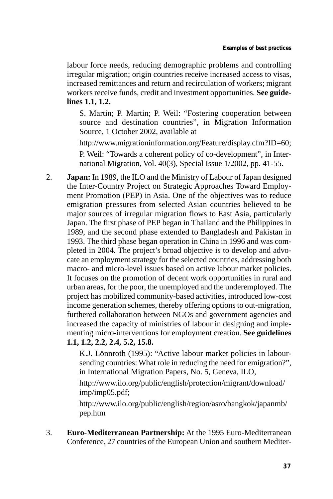labour force needs, reducing demographic problems and controlling irregular migration; origin countries receive increased access to visas, increased remittances and return and recirculation of workers; migrant workers receive funds, credit and investment opportunities. **See guidelines 1.1, 1.2.** 

 S. Martin; P. Martin; P. Weil: "Fostering cooperation between source and destination countries", in Migration Information Source, 1 October 2002, available at

http://www.migrationinformation.org/Feature/display.cfm?ID=60; P. Weil: "Towards a coherent policy of co-development", in International Migration, Vol. 40(3), Special Issue 1/2002, pp. 41-55.

2. **Japan:** In 1989, the ILO and the Ministry of Labour of Japan designed the Inter-Country Project on Strategic Approaches Toward Employment Promotion (PEP) in Asia. One of the objectives was to reduce emigration pressures from selected Asian countries believed to be major sources of irregular migration flows to East Asia, particularly Japan. The first phase of PEP began in Thailand and the Philippines in 1989, and the second phase extended to Bangladesh and Pakistan in 1993. The third phase began operation in China in 1996 and was completed in 2004. The project's broad objective is to develop and advocate an employment strategy for the selected countries, addressing both macro- and micro-level issues based on active labour market policies. It focuses on the promotion of decent work opportunities in rural and urban areas, for the poor, the unemployed and the underemployed. The project has mobilized community-based activities, introduced low-cost income generation schemes, thereby offering options to out-migration, furthered collaboration between NGOs and government agencies and increased the capacity of ministries of labour in designing and implementing micro-interventions for employment creation. **See guidelines 1.1, 1.2, 2.2, 2.4, 5.2, 15.8.** 

> K.J. Lönnroth (1995): "Active labour market policies in laboursending countries: What role in reducing the need for emigration?", in International Migration Papers, No. 5, Geneva, ILO,

http://www.ilo.org/public/english/protection/migrant/download/ imp/imp05.pdf;

http://www.ilo.org/public/english/region/asro/bangkok/japanmb/ pep.htm

3. **Euro-Mediterranean Partnership:** At the 1995 Euro-Mediterranean Conference, 27 countries of the European Union and southern Mediter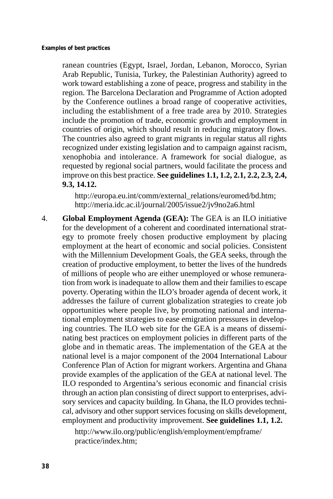ranean countries (Egypt, Israel, Jordan, Lebanon, Morocco, Syrian Arab Republic, Tunisia, Turkey, the Palestinian Authority) agreed to work toward establishing a zone of peace, progress and stability in the region. The Barcelona Declaration and Programme of Action adopted by the Conference outlines a broad range of cooperative activities, including the establishment of a free trade area by 2010. Strategies include the promotion of trade, economic growth and employment in countries of origin, which should result in reducing migratory flows. The countries also agreed to grant migrants in regular status all rights recognized under existing legislation and to campaign against racism, xenophobia and intolerance. A framework for social dialogue, as requested by regional social partners, would facilitate the process and improve on this best practice. **See guidelines 1.1, 1.2, 2.1, 2.2, 2.3, 2.4, 9.3, 14.12.** 

http://europa.eu.int/comm/external\_relations/euromed/bd.htm; http://meria.idc.ac.il/journal/2005/issue2/jv9no2a6.html

4. **Global Employment Agenda (GEA):** The GEA is an ILO initiative for the development of a coherent and coordinated international strategy to promote freely chosen productive employment by placing employment at the heart of economic and social policies. Consistent with the Millennium Development Goals, the GEA seeks, through the creation of productive employment, to better the lives of the hundreds of millions of people who are either unemployed or whose remuneration from work is inadequate to allow them and their families to escape poverty. Operating within the ILO's broader agenda of decent work, it addresses the failure of current globalization strategies to create job opportunities where people live, by promoting national and international employment strategies to ease emigration pressures in developing countries. The ILO web site for the GEA is a means of disseminating best practices on employment policies in different parts of the globe and in thematic areas. The implementation of the GEA at the national level is a major component of the 2004 International Labour Conference Plan of Action for migrant workers. Argentina and Ghana provide examples of the application of the GEA at national level. The ILO responded to Argentina's serious economic and financial crisis through an action plan consisting of direct support to enterprises, advisory services and capacity building. In Ghana, the ILO provides technical, advisory and other support services focusing on skills development, employment and productivity improvement. **See guidelines 1.1, 1.2.** 

> http://www.ilo.org/public/english/employment/empframe/ practice/index.htm;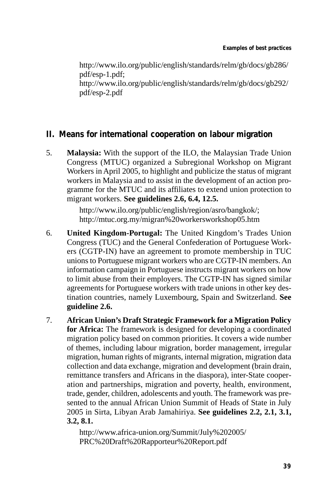http://www.ilo.org/public/english/standards/relm/gb/docs/gb286/ pdf/esp-1.pdf; http://www.ilo.org/public/english/standards/relm/gb/docs/gb292/ pdf/esp-2.pdf

## **II. Means for international cooperation on labour migration**

5. **Malaysia:** With the support of the ILO, the Malaysian Trade Union Congress (MTUC) organized a Subregional Workshop on Migrant Workers in April 2005, to highlight and publicize the status of migrant workers in Malaysia and to assist in the development of an action programme for the MTUC and its affiliates to extend union protection to migrant workers. **See guidelines 2.6, 6.4, 12.5.** 

> http://www.ilo.org/public/english/region/asro/bangkok/; http://mtuc.org.my/migran%20workersworkshop05.htm

- 6. **United Kingdom-Portugal:** The United Kingdom's Trades Union Congress (TUC) and the General Confederation of Portuguese Workers (CGTP-IN) have an agreement to promote membership in TUC unions to Portuguese migrant workers who are CGTP-IN members. An information campaign in Portuguese instructs migrant workers on how to limit abuse from their employers. The CGTP-IN has signed similar agreements for Portuguese workers with trade unions in other key destination countries, namely Luxembourg, Spain and Switzerland. **See guideline 2.6.**
- 7. **African Union's Draft Strategic Framework for a Migration Policy for Africa:** The framework is designed for developing a coordinated migration policy based on common priorities. It covers a wide number of themes, including labour migration, border management, irregular migration, human rights of migrants, internal migration, migration data collection and data exchange, migration and development (brain drain, remittance transfers and Africans in the diaspora), inter-State cooperation and partnerships, migration and poverty, health, environment, trade, gender, children, adolescents and youth. The framework was presented to the annual African Union Summit of Heads of State in July 2005 in Sirta, Libyan Arab Jamahiriya. **See guidelines 2.2, 2.1, 3.1, 3.2, 8.1.**

http://www.africa-union.org/Summit/July%202005/ PRC%20Draft%20Rapporteur%20Report.pdf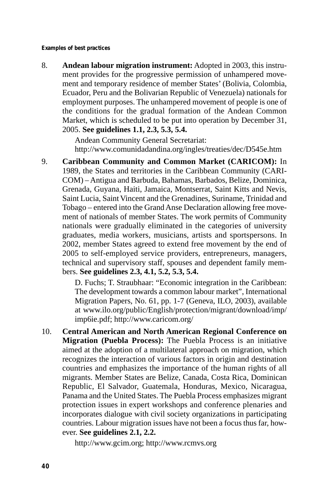**Examples of best practices** 

8. **Andean labour migration instrument:** Adopted in 2003, this instrument provides for the progressive permission of unhampered movement and temporary residence of member States' (Bolivia, Colombia, Ecuador, Peru and the Bolivarian Republic of Venezuela) nationals for employment purposes. The unhampered movement of people is one of the conditions for the gradual formation of the Andean Common Market, which is scheduled to be put into operation by December 31, 2005. **See guidelines 1.1, 2.3, 5.3, 5.4.** 

> Andean Community General Secretariat: http://www.comunidadandina.org/ingles/treaties/dec/D545e.htm

9. **Caribbean Community and Common Market (CARICOM):** In 1989, the States and territories in the Caribbean Community (CARI-COM) – Antigua and Barbuda, Bahamas, Barbados, Belize, Dominica, Grenada, Guyana, Haiti, Jamaica, Montserrat, Saint Kitts and Nevis, Saint Lucia, Saint Vincent and the Grenadines, Suriname, Trinidad and Tobago – entered into the Grand Anse Declaration allowing free movement of nationals of member States. The work permits of Community nationals were gradually eliminated in the categories of university graduates, media workers, musicians, artists and sportspersons. In 2002, member States agreed to extend free movement by the end of 2005 to self-employed service providers, entrepreneurs, managers, technical and supervisory staff, spouses and dependent family members. **See guidelines 2.3, 4.1, 5.2, 5.3, 5.4.** 

> D. Fuchs; T. Straubhaar: "Economic integration in the Caribbean: The development towards a common labour market", International Migration Papers, No. 61, pp. 1-7 (Geneva, ILO, 2003), available at www.ilo.org/public/English/protection/migrant/download/imp/ imp6ie.pdf; http://www.caricom.org/

10. **Central American and North American Regional Conference on Migration (Puebla Process):** The Puebla Process is an initiative aimed at the adoption of a multilateral approach on migration, which recognizes the interaction of various factors in origin and destination countries and emphasizes the importance of the human rights of all migrants. Member States are Belize, Canada, Costa Rica, Dominican Republic, El Salvador, Guatemala, Honduras, Mexico, Nicaragua, Panama and the United States. The Puebla Process emphasizes migrant protection issues in expert workshops and conference plenaries and incorporates dialogue with civil society organizations in participating countries. Labour migration issues have not been a focus thus far, however. **See guidelines 2.1, 2.2.** 

http://www.gcim.org; http://www.rcmvs.org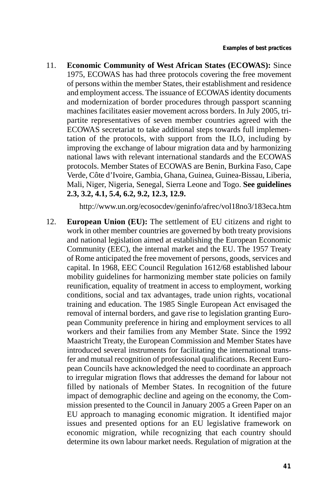11. **Economic Community of West African States (ECOWAS):** Since 1975, ECOWAS has had three protocols covering the free movement of persons within the member States, their establishment and residence and employment access. The issuance of ECOWAS identity documents and modernization of border procedures through passport scanning machines facilitates easier movement across borders. In July 2005, tripartite representatives of seven member countries agreed with the ECOWAS secretariat to take additional steps towards full implementation of the protocols, with support from the ILO, including by improving the exchange of labour migration data and by harmonizing national laws with relevant international standards and the ECOWAS protocols. Member States of ECOWAS are Benin, Burkina Faso, Cape Verde, Côte d'Ivoire, Gambia, Ghana, Guinea, Guinea-Bissau, Liberia, Mali, Niger, Nigeria, Senegal, Sierra Leone and Togo. **See guidelines 2.3, 3.2, 4.1, 5.4, 6.2, 9.2, 12.3, 12.9.** 

http://www.un.org/ecosocdev/geninfo/afrec/vol18no3/183eca.htm

12. **European Union (EU):** The settlement of EU citizens and right to work in other member countries are governed by both treaty provisions and national legislation aimed at establishing the European Economic Community (EEC), the internal market and the EU. The 1957 Treaty of Rome anticipated the free movement of persons, goods, services and capital. In 1968, EEC Council Regulation 1612/68 established labour mobility guidelines for harmonizing member state policies on family reunification, equality of treatment in access to employment, working conditions, social and tax advantages, trade union rights, vocational training and education. The 1985 Single European Act envisaged the removal of internal borders, and gave rise to legislation granting European Community preference in hiring and employment services to all workers and their families from any Member State. Since the 1992 Maastricht Treaty, the European Commission and Member States have introduced several instruments for facilitating the international transfer and mutual recognition of professional qualifications. Recent European Councils have acknowledged the need to coordinate an approach to irregular migration flows that addresses the demand for labour not filled by nationals of Member States. In recognition of the future impact of demographic decline and ageing on the economy, the Commission presented to the Council in January 2005 a Green Paper on an EU approach to managing economic migration. It identified major issues and presented options for an EU legislative framework on economic migration, while recognizing that each country should determine its own labour market needs. Regulation of migration at the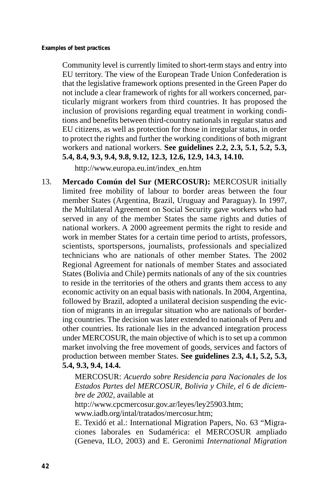Community level is currently limited to short-term stays and entry into EU territory. The view of the European Trade Union Confederation is that the legislative framework options presented in the Green Paper do not include a clear framework of rights for all workers concerned, particularly migrant workers from third countries. It has proposed the inclusion of provisions regarding equal treatment in working conditions and benefits between third-country nationals in regular status and EU citizens, as well as protection for those in irregular status, in order to protect the rights and further the working conditions of both migrant workers and national workers. **See guidelines 2.2, 2.3, 5.1, 5.2, 5.3, 5.4, 8.4, 9.3, 9.4, 9.8, 9.12, 12.3, 12.6, 12.9, 14.3, 14.10.** 

http://www.europa.eu.int/index\_en.htm

13. **Mercado Común del Sur (MERCOSUR):** MERCOSUR initially limited free mobility of labour to border areas between the four member States (Argentina, Brazil, Uruguay and Paraguay). In 1997, the Multilateral Agreement on Social Security gave workers who had served in any of the member States the same rights and duties of national workers. A 2000 agreement permits the right to reside and work in member States for a certain time period to artists, professors, scientists, sportspersons, journalists, professionals and specialized technicians who are nationals of other member States. The 2002 Regional Agreement for nationals of member States and associated States (Bolivia and Chile) permits nationals of any of the six countries to reside in the territories of the others and grants them access to any economic activity on an equal basis with nationals. In 2004, Argentina, followed by Brazil, adopted a unilateral decision suspending the eviction of migrants in an irregular situation who are nationals of bordering countries. The decision was later extended to nationals of Peru and other countries. Its rationale lies in the advanced integration process under MERCOSUR, the main objective of which is to set up a common market involving the free movement of goods, services and factors of production between member States. **See guidelines 2.3, 4.1, 5.2, 5.3, 5.4, 9.3, 9.4, 14.4.** 

> MERCOSUR: *Acuerdo sobre Residencia para Nacionales de los Estados Partes del MERCOSUR, Bolivia y Chile, el 6 de diciembre de 2002*, available at

http://www.cpcmercosur.gov.ar/leyes/ley25903.htm; www.iadb.org/intal/tratados/mercosur.htm;

E. Texidó et al.: International Migration Papers, No. 63 "Migraciones laborales en Sudamérica: el MERCOSUR ampliado (Geneva, ILO, 2003) and E. Geronimi *International Migration*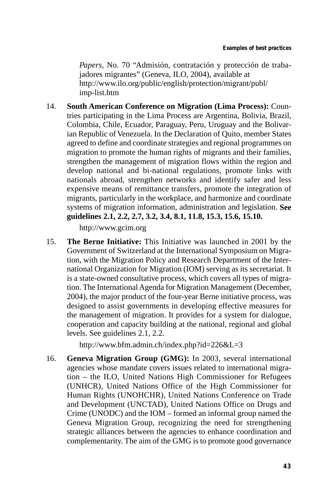*Papers*, No. 70 "Admisión, contratación y protección de trabajadores migrantes" (Geneva, ILO, 2004), available at http://www.ilo.org/public/english/protection/migrant/publ/ imp-list.htm

14. **South American Conference on Migration (Lima Process):** Countries participating in the Lima Process are Argentina, Bolivia, Brazil, Colombia, Chile, Ecuador, Paraguay, Peru, Uruguay and the Bolivarian Republic of Venezuela. In the Declaration of Quito, member States agreed to define and coordinate strategies and regional programmes on migration to promote the human rights of migrants and their families, strengthen the management of migration flows within the region and develop national and bi-national regulations, promote links with nationals abroad, strengthen networks and identify safer and less expensive means of remittance transfers, promote the integration of migrants, particularly in the workplace, and harmonize and coordinate systems of migration information, administration and legislation. **See guidelines 2.1, 2.2, 2.7, 3.2, 3.4, 8.1, 11.8, 15.3, 15.6, 15.10.** 

http://www.gcim.org

15. **The Berne Initiative:** This Initiative was launched in 2001 by the Government of Switzerland at the International Symposium on Migration, with the Migration Policy and Research Department of the International Organization for Migration (IOM) serving as its secretariat. It is a state-owned consultative process, which covers all types of migration. The International Agenda for Migration Management (December, 2004), the major product of the four-year Berne initiative process, was designed to assist governments in developing effective measures for the management of migration. It provides for a system for dialogue, cooperation and capacity building at the national, regional and global levels. See guidelines 2.1, 2.2.

http://www.bfm.admin.ch/index.php?id=226&L=3

16. **Geneva Migration Group (GMG):** In 2003, several international agencies whose mandate covers issues related to international migration – the ILO, United Nations High Commissioner for Refugees (UNHCR), United Nations Office of the High Commissioner for Human Rights (UNOHCHR), United Nations Conference on Trade and Development (UNCTAD), United Nations Office on Drugs and Crime (UNODC) and the IOM – formed an informal group named the Geneva Migration Group, recognizing the need for strengthening strategic alliances between the agencies to enhance coordination and complementarity. The aim of the GMG is to promote good governance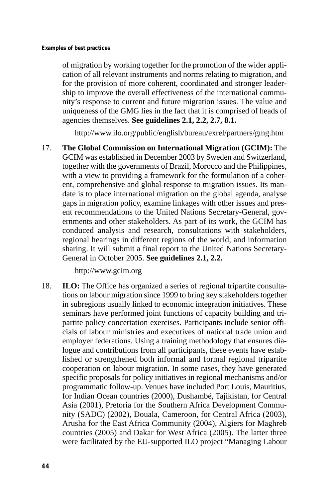of migration by working together for the promotion of the wider application of all relevant instruments and norms relating to migration, and for the provision of more coherent, coordinated and stronger leadership to improve the overall effectiveness of the international community's response to current and future migration issues. The value and uniqueness of the GMG lies in the fact that it is comprised of heads of agencies themselves. **See guidelines 2.1, 2.2, 2.7, 8.1.** 

http://www.ilo.org/public/english/bureau/exrel/partners/gmg.htm

17. **The Global Commission on International Migration (GCIM):** The GCIM was established in December 2003 by Sweden and Switzerland, together with the governments of Brazil, Morocco and the Philippines, with a view to providing a framework for the formulation of a coherent, comprehensive and global response to migration issues. Its mandate is to place international migration on the global agenda, analyse gaps in migration policy, examine linkages with other issues and present recommendations to the United Nations Secretary-General, governments and other stakeholders. As part of its work, the GCIM has conduced analysis and research, consultations with stakeholders, regional hearings in different regions of the world, and information sharing. It will submit a final report to the United Nations Secretary-General in October 2005. **See guidelines 2.1, 2.2.** 

http://www.gcim.org

18. **ILO:** The Office has organized a series of regional tripartite consultations on labour migration since 1999 to bring key stakeholders together in subregions usually linked to economic integration initiatives. These seminars have performed joint functions of capacity building and tripartite policy concertation exercises. Participants include senior officials of labour ministries and executives of national trade union and employer federations. Using a training methodology that ensures dialogue and contributions from all participants, these events have established or strengthened both informal and formal regional tripartite cooperation on labour migration. In some cases, they have generated specific proposals for policy initiatives in regional mechanisms and/or programmatic follow-up. Venues have included Port Louis, Mauritius, for Indian Ocean countries (2000), Dushambé, Tajikistan, for Central Asia (2001), Pretoria for the Southern Africa Development Community (SADC) (2002), Douala, Cameroon, for Central Africa (2003), Arusha for the East Africa Community (2004), Algiers for Maghreb countries (2005) and Dakar for West Africa (2005). The latter three were facilitated by the EU-supported ILO project "Managing Labour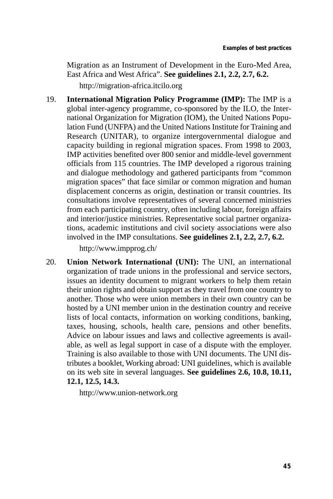Migration as an Instrument of Development in the Euro-Med Area, East Africa and West Africa". **See guidelines 2.1, 2.2, 2.7, 6.2.**  http://migration-africa.itcilo.org

19. **International Migration Policy Programme (IMP):** The IMP is a global inter-agency programme, co-sponsored by the ILO, the International Organization for Migration (IOM), the United Nations Population Fund (UNFPA) and the United Nations Institute for Training and Research (UNITAR), to organize intergovernmental dialogue and capacity building in regional migration spaces. From 1998 to 2003, IMP activities benefited over 800 senior and middle-level government officials from 115 countries. The IMP developed a rigorous training and dialogue methodology and gathered participants from "common migration spaces" that face similar or common migration and human displacement concerns as origin, destination or transit countries. Its consultations involve representatives of several concerned ministries from each participating country, often including labour, foreign affairs and interior/justice ministries. Representative social partner organizations, academic institutions and civil society associations were also involved in the IMP consultations. **See guidelines 2.1, 2.2, 2.7, 6.2.** 

http://www.impprog.ch/

20. **Union Network International (UNI):** The UNI, an international organization of trade unions in the professional and service sectors, issues an identity document to migrant workers to help them retain their union rights and obtain support as they travel from one country to another. Those who were union members in their own country can be hosted by a UNI member union in the destination country and receive lists of local contacts, information on working conditions, banking, taxes, housing, schools, health care, pensions and other benefits. Advice on labour issues and laws and collective agreements is available, as well as legal support in case of a dispute with the employer. Training is also available to those with UNI documents. The UNI distributes a booklet, Working abroad: UNI guidelines, which is available on its web site in several languages. **See guidelines 2.6, 10.8, 10.11, 12.1, 12.5, 14.3.** 

http://www.union-network.org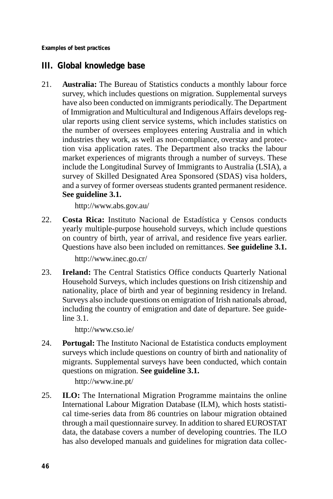**Examples of best practices** 

## **III. Global knowledge base**

21. **Australia:** The Bureau of Statistics conducts a monthly labour force survey, which includes questions on migration. Supplemental surveys have also been conducted on immigrants periodically. The Department of Immigration and Multicultural and Indigenous Affairs develops regular reports using client service systems, which includes statistics on the number of oversees employees entering Australia and in which industries they work, as well as non-compliance, overstay and protection visa application rates. The Department also tracks the labour market experiences of migrants through a number of surveys. These include the Longitudinal Survey of Immigrants to Australia (LSIA), a survey of Skilled Designated Area Sponsored (SDAS) visa holders, and a survey of former overseas students granted permanent residence. **See guideline 3.1.** 

http://www.abs.gov.au/

22. **Costa Rica:** Instituto Nacional de Estadística y Censos conducts yearly multiple-purpose household surveys, which include questions on country of birth, year of arrival, and residence five years earlier. Questions have also been included on remittances. **See guideline 3.1.** 

http://www.inec.go.cr/

23. **Ireland:** The Central Statistics Office conducts Quarterly National Household Surveys, which includes questions on Irish citizenship and nationality, place of birth and year of beginning residency in Ireland. Surveys also include questions on emigration of Irish nationals abroad, including the country of emigration and date of departure. See guideline 3.1.

http://www.cso.ie/

24. **Portugal:** The Instituto Nacional de Estatistica conducts employment surveys which include questions on country of birth and nationality of migrants. Supplemental surveys have been conducted, which contain questions on migration. **See guideline 3.1.** 

http://www.ine.pt/

25. **ILO:** The International Migration Programme maintains the online International Labour Migration Database (ILM), which hosts statistical time-series data from 86 countries on labour migration obtained through a mail questionnaire survey. In addition to shared EUROSTAT data, the database covers a number of developing countries. The ILO has also developed manuals and guidelines for migration data collec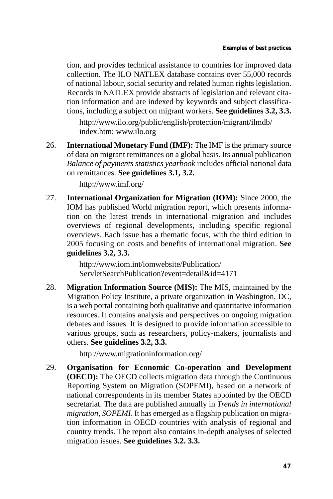tion, and provides technical assistance to countries for improved data collection. The ILO NATLEX database contains over 55,000 records of national labour, social security and related human rights legislation. Records in NATLEX provide abstracts of legislation and relevant citation information and are indexed by keywords and subject classifications, including a subject on migrant workers. **See guidelines 3.2, 3.3.** 

http://www.ilo.org/public/english/protection/migrant/ilmdb/ index.htm; www.ilo.org

26. **International Monetary Fund (IMF):** The IMF is the primary source of data on migrant remittances on a global basis. Its annual publication *Balance of payments statistics yearbook* includes official national data on remittances. **See guidelines 3.1, 3.2.** 

http://www.imf.org/

27. **International Organization for Migration (IOM):** Since 2000, the IOM has published World migration report, which presents information on the latest trends in international migration and includes overviews of regional developments, including specific regional overviews. Each issue has a thematic focus, with the third edition in 2005 focusing on costs and benefits of international migration. **See guidelines 3.2, 3.3.** 

> http://www.iom.int/iomwebsite/Publication/ ServletSearchPublication?event=detail&id=4171

28. **Migration Information Source (MIS):** The MIS, maintained by the Migration Policy Institute, a private organization in Washington, DC, is a web portal containing both qualitative and quantitative information resources. It contains analysis and perspectives on ongoing migration debates and issues. It is designed to provide information accessible to various groups, such as researchers, policy-makers, journalists and others. **See guidelines 3.2, 3.3.** 

http://www.migrationinformation.org/

29. **Organisation for Economic Co-operation and Development (OECD):** The OECD collects migration data through the Continuous Reporting System on Migration (SOPEMI), based on a network of national correspondents in its member States appointed by the OECD secretariat. The data are published annually in *Trends in international migration, SOPEMI*. It has emerged as a flagship publication on migration information in OECD countries with analysis of regional and country trends. The report also contains in-depth analyses of selected migration issues. **See guidelines 3.2. 3.3.**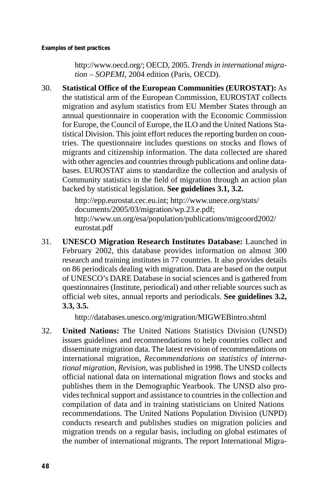http://www.oecd.org/; OECD, 2005. *Trends in international migration – SOPEMI*, 2004 edition (Paris, OECD).

30. **Statistical Office of the European Communities (EUROSTAT):** As the statistical arm of the European Commission, EUROSTAT collects migration and asylum statistics from EU Member States through an annual questionnaire in cooperation with the Economic Commission for Europe, the Council of Europe, the ILO and the United Nations Statistical Division. This joint effort reduces the reporting burden on countries. The questionnaire includes questions on stocks and flows of migrants and citizenship information. The data collected are shared with other agencies and countries through publications and online databases. EUROSTAT aims to standardize the collection and analysis of Community statistics in the field of migration through an action plan backed by statistical legislation. **See guidelines 3.1, 3.2.** 

> http://epp.eurostat.cec.eu.int; http://www.unece.org/stats/ documents/2005/03/migration/wp.23.e.pdf; http://www.un.org/esa/population/publications/migcoord2002/ eurostat.pdf

31. **UNESCO Migration Research Institutes Database:** Launched in February 2002, this database provides information on almost 300 research and training institutes in 77 countries. It also provides details on 86 periodicals dealing with migration. Data are based on the output of UNESCO's DARE Database in social sciences and is gathered from questionnaires (Institute, periodical) and other reliable sources such as official web sites, annual reports and periodicals. **See guidelines 3.2, 3.3, 3.5.** 

http://databases.unesco.org/migration/MIGWEBintro.shtml

32. **United Nations:** The United Nations Statistics Division (UNSD) issues guidelines and recommendations to help countries collect and disseminate migration data. The latest revision of recommendations on international migration, *Recommendations on statistics of international migration, Revision*, was published in 1998. The UNSD collects official national data on international migration flows and stocks and publishes them in the Demographic Yearbook. The UNSD also provides technical support and assistance to countries in the collection and compilation of data and in training statisticians on United Nations recommendations. The United Nations Population Division (UNPD) conducts research and publishes studies on migration policies and migration trends on a regular basis, including on global estimates of the number of international migrants. The report International Migra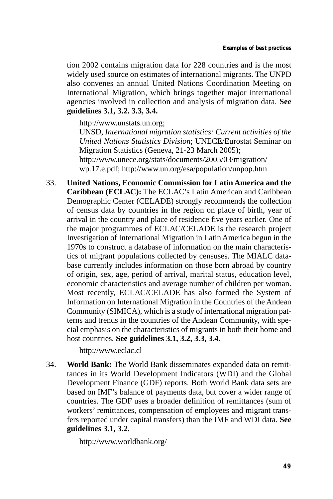tion 2002 contains migration data for 228 countries and is the most widely used source on estimates of international migrants. The UNPD also convenes an annual United Nations Coordination Meeting on International Migration, which brings together major international agencies involved in collection and analysis of migration data. **See guidelines 3.1, 3.2. 3.3, 3.4.** 

http://www.unstats.un.org;

UNSD, *International migration statistics: Current activities of the United Nations Statistics Division*; UNECE/Eurostat Seminar on Migration Statistics (Geneva, 21-23 March 2005); http://www.unece.org/stats/documents/2005/03/migration/ wp.17.e.pdf; http://www.un.org/esa/population/unpop.htm

33. **United Nations, Economic Commission for Latin America and the Caribbean (ECLAC):** The ECLAC's Latin American and Caribbean Demographic Center (CELADE) strongly recommends the collection of census data by countries in the region on place of birth, year of arrival in the country and place of residence five years earlier. One of the major programmes of ECLAC/CELADE is the research project Investigation of International Migration in Latin America begun in the 1970s to construct a database of information on the main characteristics of migrant populations collected by censuses. The MIALC database currently includes information on those born abroad by country of origin, sex, age, period of arrival, marital status, education level, economic characteristics and average number of children per woman. Most recently, ECLAC/CELADE has also formed the System of Information on International Migration in the Countries of the Andean Community (SIMICA), which is a study of international migration patterns and trends in the countries of the Andean Community, with special emphasis on the characteristics of migrants in both their home and host countries. **See guidelines 3.1, 3.2, 3.3, 3.4.** 

http://www.eclac.cl

34. **World Bank:** The World Bank disseminates expanded data on remittances in its World Development Indicators (WDI) and the Global Development Finance (GDF) reports. Both World Bank data sets are based on IMF's balance of payments data, but cover a wider range of countries. The GDF uses a broader definition of remittances (sum of workers' remittances, compensation of employees and migrant transfers reported under capital transfers) than the IMF and WDI data. **See guidelines 3.1, 3.2.** 

http://www.worldbank.org/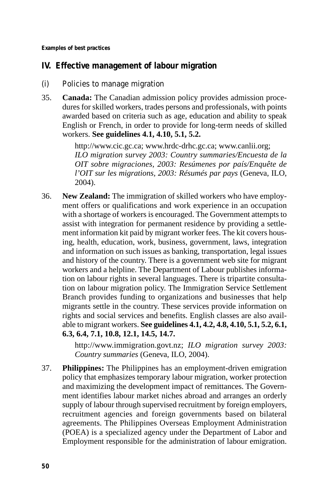**Examples of best practices** 

## **IV. Effective management of labour migration**

- (i) Policies to manage migration
- 35. **Canada:** The Canadian admission policy provides admission procedures for skilled workers, trades persons and professionals, with points awarded based on criteria such as age, education and ability to speak English or French, in order to provide for long-term needs of skilled workers. **See guidelines 4.1, 4.10, 5.1, 5.2.**

http://www.cic.gc.ca; www.hrdc-drhc.gc.ca; www.canlii.org; *ILO migration survey 2003: Country summaries/Encuesta de la OIT sobre migraciones, 2003: Resúmenes por país/Enquête de l'OIT sur les migrations, 2003: Résumés par pays* (Geneva, ILO, 2004).

36. **New Zealand:** The immigration of skilled workers who have employment offers or qualifications and work experience in an occupation with a shortage of workers is encouraged. The Government attempts to assist with integration for permanent residence by providing a settlement information kit paid by migrant worker fees. The kit covers housing, health, education, work, business, government, laws, integration and information on such issues as banking, transportation, legal issues and history of the country. There is a government web site for migrant workers and a helpline. The Department of Labour publishes information on labour rights in several languages. There is tripartite consultation on labour migration policy. The Immigration Service Settlement Branch provides funding to organizations and businesses that help migrants settle in the country. These services provide information on rights and social services and benefits. English classes are also available to migrant workers. **See guidelines 4.1, 4.2, 4.8, 4.10, 5.1, 5.2, 6.1, 6.3, 6.4, 7.1, 10.8, 12.1, 14.5, 14.7.** 

> http://www.immigration.govt.nz; *ILO migration survey 2003: Country summaries* (Geneva, ILO, 2004).

37. **Philippines:** The Philippines has an employment-driven emigration policy that emphasizes temporary labour migration, worker protection and maximizing the development impact of remittances. The Government identifies labour market niches abroad and arranges an orderly supply of labour through supervised recruitment by foreign employers, recruitment agencies and foreign governments based on bilateral agreements. The Philippines Overseas Employment Administration (POEA) is a specialized agency under the Department of Labor and Employment responsible for the administration of labour emigration.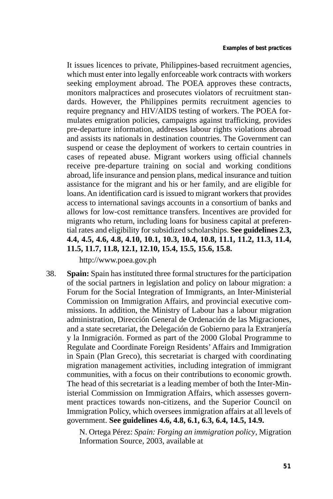It issues licences to private, Philippines-based recruitment agencies, which must enter into legally enforceable work contracts with workers seeking employment abroad. The POEA approves these contracts, monitors malpractices and prosecutes violators of recruitment standards. However, the Philippines permits recruitment agencies to require pregnancy and HIV/AIDS testing of workers. The POEA formulates emigration policies, campaigns against trafficking, provides pre-departure information, addresses labour rights violations abroad and assists its nationals in destination countries. The Government can suspend or cease the deployment of workers to certain countries in cases of repeated abuse. Migrant workers using official channels receive pre-departure training on social and working conditions abroad, life insurance and pension plans, medical insurance and tuition assistance for the migrant and his or her family, and are eligible for loans. An identification card is issued to migrant workers that provides access to international savings accounts in a consortium of banks and allows for low-cost remittance transfers. Incentives are provided for migrants who return, including loans for business capital at preferential rates and eligibility for subsidized scholarships. **See guidelines 2.3, 4.4, 4.5, 4.6, 4.8, 4.10, 10.1, 10.3, 10.4, 10.8, 11.1, 11.2, 11.3, 11.4, 11.5, 11.7, 11.8, 12.1, 12.10, 15.4, 15.5, 15.6, 15.8.** 

http://www.poea.gov.ph

38. **Spain:** Spain has instituted three formal structures for the participation of the social partners in legislation and policy on labour migration: a Forum for the Social Integration of Immigrants, an Inter-Ministerial Commission on Immigration Affairs, and provincial executive commissions. In addition, the Ministry of Labour has a labour migration administration, Dirección General de Ordenación de las Migraciones, and a state secretariat, the Delegación de Gobierno para la Extranjería y la Inmigración. Formed as part of the 2000 Global Programme to Regulate and Coordinate Foreign Residents' Affairs and Immigration in Spain (Plan Greco), this secretariat is charged with coordinating migration management activities, including integration of immigrant communities, with a focus on their contributions to economic growth. The head of this secretariat is a leading member of both the Inter-Ministerial Commission on Immigration Affairs, which assesses government practices towards non-citizens, and the Superior Council on Immigration Policy, which oversees immigration affairs at all levels of government. **See guidelines 4.6, 4.8, 6.1, 6.3, 6.4, 14.5, 14.9.** 

> N. Ortega Pérez: *Spain: Forging an immigration policy*, Migration Information Source, 2003, available at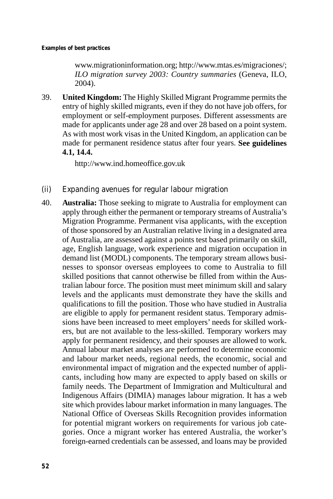www.migrationinformation.org; http://www.mtas.es/migraciones/; *ILO migration survey 2003: Country summaries* (Geneva, ILO, 2004).

39. **United Kingdom:** The Highly Skilled Migrant Programme permits the entry of highly skilled migrants, even if they do not have job offers, for employment or self-employment purposes. Different assessments are made for applicants under age 28 and over 28 based on a point system. As with most work visas in the United Kingdom, an application can be made for permanent residence status after four years. **See guidelines 4.1, 14.4.** 

http://www.ind.homeoffice.gov.uk

- (ii) Expanding avenues for regular labour migration
- 40. **Australia:** Those seeking to migrate to Australia for employment can apply through either the permanent or temporary streams of Australia's Migration Programme. Permanent visa applicants, with the exception of those sponsored by an Australian relative living in a designated area of Australia, are assessed against a points test based primarily on skill, age, English language, work experience and migration occupation in demand list (MODL) components. The temporary stream allows businesses to sponsor overseas employees to come to Australia to fill skilled positions that cannot otherwise be filled from within the Australian labour force. The position must meet minimum skill and salary levels and the applicants must demonstrate they have the skills and qualifications to fill the position. Those who have studied in Australia are eligible to apply for permanent resident status. Temporary admissions have been increased to meet employers' needs for skilled workers, but are not available to the less-skilled. Temporary workers may apply for permanent residency, and their spouses are allowed to work. Annual labour market analyses are performed to determine economic and labour market needs, regional needs, the economic, social and environmental impact of migration and the expected number of applicants, including how many are expected to apply based on skills or family needs. The Department of Immigration and Multicultural and Indigenous Affairs (DIMIA) manages labour migration. It has a web site which provides labour market information in many languages. The National Office of Overseas Skills Recognition provides information for potential migrant workers on requirements for various job categories. Once a migrant worker has entered Australia, the worker's foreign-earned credentials can be assessed, and loans may be provided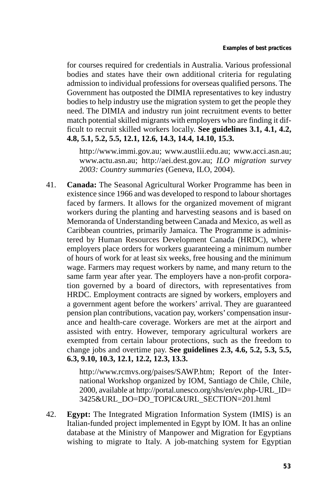for courses required for credentials in Australia. Various professional bodies and states have their own additional criteria for regulating admission to individual professions for overseas qualified persons. The Government has outposted the DIMIA representatives to key industry bodies to help industry use the migration system to get the people they need. The DIMIA and industry run joint recruitment events to better match potential skilled migrants with employers who are finding it difficult to recruit skilled workers locally. **See guidelines 3.1, 4.1, 4.2, 4.8, 5.1, 5.2, 5.5, 12.1, 12.6, 14.3, 14.4, 14.10, 15.3.** 

http://www.immi.gov.au; www.austlii.edu.au; www.acci.asn.au; www.actu.asn.au; http://aei.dest.gov.au; *ILO migration survey 2003: Country summaries* (Geneva, ILO, 2004).

41. **Canada:** The Seasonal Agricultural Worker Programme has been in existence since 1966 and was developed to respond to labour shortages faced by farmers. It allows for the organized movement of migrant workers during the planting and harvesting seasons and is based on Memoranda of Understanding between Canada and Mexico, as well as Caribbean countries, primarily Jamaica. The Programme is administered by Human Resources Development Canada (HRDC), where employers place orders for workers guaranteeing a minimum number of hours of work for at least six weeks, free housing and the minimum wage. Farmers may request workers by name, and many return to the same farm year after year. The employers have a non-profit corporation governed by a board of directors, with representatives from HRDC. Employment contracts are signed by workers, employers and a government agent before the workers' arrival. They are guaranteed pension plan contributions, vacation pay, workers'compensation insurance and health-care coverage. Workers are met at the airport and assisted with entry. However, temporary agricultural workers are exempted from certain labour protections, such as the freedom to change jobs and overtime pay. **See guidelines 2.3, 4.6, 5.2, 5.3, 5.5, 6.3, 9.10, 10.3, 12.1, 12.2, 12.3, 13.3.** 

> http://www.rcmvs.org/paises/SAWP.htm; Report of the International Workshop organized by IOM, Santiago de Chile, Chile, 2000, available at http://portal.unesco.org/shs/en/ev.php-URL\_ID= 3425&URL\_DO=DO\_TOPIC&URL\_SECTION=201.html

42. **Egypt:** The Integrated Migration Information System (IMIS) is an Italian-funded project implemented in Egypt by IOM. It has an online database at the Ministry of Manpower and Migration for Egyptians wishing to migrate to Italy. A job-matching system for Egyptian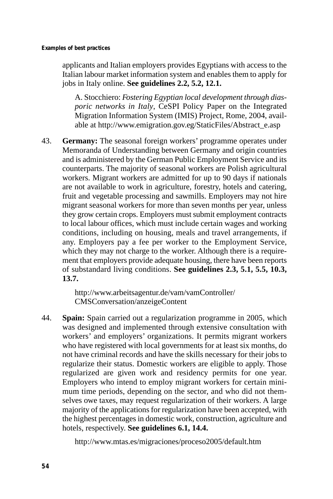applicants and Italian employers provides Egyptians with access to the Italian labour market information system and enables them to apply for jobs in Italy online. **See guidelines 2.2, 5.2, 12.1.** 

A. Stocchiero: *Fostering Egyptian local development through diasporic networks in Italy*, CeSPI Policy Paper on the Integrated Migration Information System (IMIS) Project, Rome, 2004, available at http://www.emigration.gov.eg/StaticFiles/Abstract\_e.asp

43. **Germany:** The seasonal foreign workers' programme operates under Memoranda of Understanding between Germany and origin countries and is administered by the German Public Employment Service and its counterparts. The majority of seasonal workers are Polish agricultural workers. Migrant workers are admitted for up to 90 days if nationals are not available to work in agriculture, forestry, hotels and catering, fruit and vegetable processing and sawmills. Employers may not hire migrant seasonal workers for more than seven months per year, unless they grow certain crops. Employers must submit employment contracts to local labour offices, which must include certain wages and working conditions, including on housing, meals and travel arrangements, if any. Employers pay a fee per worker to the Employment Service, which they may not charge to the worker. Although there is a requirement that employers provide adequate housing, there have been reports of substandard living conditions. **See guidelines 2.3, 5.1, 5.5, 10.3, 13.7.** 

> http://www.arbeitsagentur.de/vam/vamController/ CMSConversation/anzeigeContent

44. **Spain:** Spain carried out a regularization programme in 2005, which was designed and implemented through extensive consultation with workers' and employers' organizations. It permits migrant workers who have registered with local governments for at least six months, do not have criminal records and have the skills necessary for their jobs to regularize their status. Domestic workers are eligible to apply. Those regularized are given work and residency permits for one year. Employers who intend to employ migrant workers for certain minimum time periods, depending on the sector, and who did not themselves owe taxes, may request regularization of their workers. A large majority of the applications for regularization have been accepted, with the highest percentages in domestic work, construction, agriculture and hotels, respectively. **See guidelines 6.1, 14.4.** 

http://www.mtas.es/migraciones/proceso2005/default.htm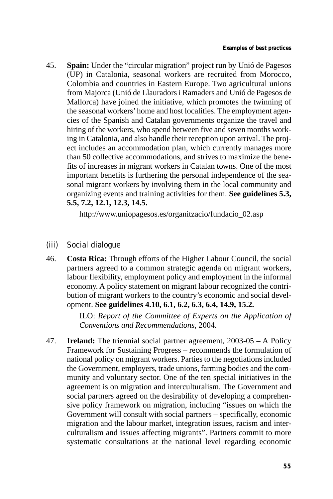45. **Spain:** Under the "circular migration" project run by Unió de Pagesos (UP) in Catalonia, seasonal workers are recruited from Morocco, Colombia and countries in Eastern Europe. Two agricultural unions from Majorca (Unió de Llauradors i Ramaders and Unió de Pagesos de Mallorca) have joined the initiative, which promotes the twinning of the seasonal workers' home and host localities. The employment agencies of the Spanish and Catalan governments organize the travel and hiring of the workers, who spend between five and seven months working in Catalonia, and also handle their reception upon arrival. The project includes an accommodation plan, which currently manages more than 50 collective accommodations, and strives to maximize the benefits of increases in migrant workers in Catalan towns. One of the most important benefits is furthering the personal independence of the seasonal migrant workers by involving them in the local community and organizing events and training activities for them. **See guidelines 5.3, 5.5, 7.2, 12.1, 12.3, 14.5.** 

http://www.uniopagesos.es/organitzacio/fundacio\_02.asp

- (iii) Social dialogue
- 46. **Costa Rica:** Through efforts of the Higher Labour Council, the social partners agreed to a common strategic agenda on migrant workers, labour flexibility, employment policy and employment in the informal economy. A policy statement on migrant labour recognized the contribution of migrant workers to the country's economic and social development. **See guidelines 4.10, 6.1, 6.2, 6.3, 6.4, 14.9, 15.2.**

ILO: *Report of the Committee of Experts on the Application of Conventions and Recommendations*, 2004.

47. **Ireland:** The triennial social partner agreement, 2003-05 – A Policy Framework for Sustaining Progress – recommends the formulation of national policy on migrant workers. Parties to the negotiations included the Government, employers, trade unions, farming bodies and the community and voluntary sector. One of the ten special initiatives in the agreement is on migration and interculturalism. The Government and social partners agreed on the desirability of developing a comprehensive policy framework on migration, including "issues on which the Government will consult with social partners – specifically, economic migration and the labour market, integration issues, racism and interculturalism and issues affecting migrants". Partners commit to more systematic consultations at the national level regarding economic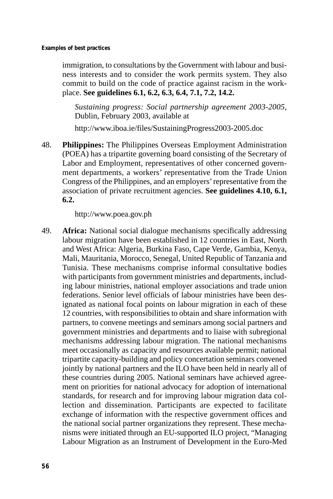immigration, to consultations by the Government with labour and business interests and to consider the work permits system. They also commit to build on the code of practice against racism in the workplace. **See guidelines 6.1, 6.2, 6.3, 6.4, 7.1, 7.2, 14.2.** 

*Sustaining progress: Social partnership agreement 2003-2005*, Dublin, February 2003, available at

http://www.iboa.ie/files/SustainingProgress2003-2005.doc

48. **Philippines:** The Philippines Overseas Employment Administration (POEA) has a tripartite governing board consisting of the Secretary of Labor and Employment, representatives of other concerned government departments, a workers' representative from the Trade Union Congress of the Philippines, and an employers' representative from the association of private recruitment agencies. **See guidelines 4.10, 6.1, 6.2.** 

http://www.poea.gov.ph

49. **Africa:** National social dialogue mechanisms specifically addressing labour migration have been established in 12 countries in East, North and West Africa: Algeria, Burkina Faso, Cape Verde, Gambia, Kenya, Mali, Mauritania, Morocco, Senegal, United Republic of Tanzania and Tunisia. These mechanisms comprise informal consultative bodies with participants from government ministries and departments, including labour ministries, national employer associations and trade union federations. Senior level officials of labour ministries have been designated as national focal points on labour migration in each of these 12 countries, with responsibilities to obtain and share information with partners, to convene meetings and seminars among social partners and government ministries and departments and to liaise with subregional mechanisms addressing labour migration. The national mechanisms meet occasionally as capacity and resources available permit; national tripartite capacity-building and policy concertation seminars convened jointly by national partners and the ILO have been held in nearly all of these countries during 2005. National seminars have achieved agreement on priorities for national advocacy for adoption of international standards, for research and for improving labour migration data collection and dissemination. Participants are expected to facilitate exchange of information with the respective government offices and the national social partner organizations they represent. These mechanisms were initiated through an EU-supported ILO project, "Managing Labour Migration as an Instrument of Development in the Euro-Med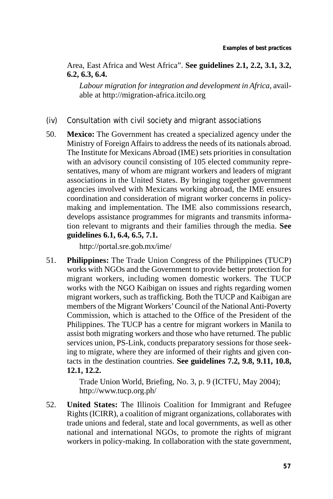Area, East Africa and West Africa". **See guidelines 2.1, 2.2, 3.1, 3.2, 6.2, 6.3, 6.4.** 

*Labour migration for integration and development in Africa*, available at http://migration-africa.itcilo.org

- (iv) Consultation with civil society and migrant associations
- 50. **Mexico:** The Government has created a specialized agency under the Ministry of Foreign Affairs to address the needs of its nationals abroad. The Institute for Mexicans Abroad (IME) sets priorities in consultation with an advisory council consisting of 105 elected community representatives, many of whom are migrant workers and leaders of migrant associations in the United States. By bringing together government agencies involved with Mexicans working abroad, the IME ensures coordination and consideration of migrant worker concerns in policymaking and implementation. The IME also commissions research, develops assistance programmes for migrants and transmits information relevant to migrants and their families through the media. **See guidelines 6.1, 6.4, 6.5, 7.1.**

http://portal.sre.gob.mx/ime/

51. **Philippines:** The Trade Union Congress of the Philippines (TUCP) works with NGOs and the Government to provide better protection for migrant workers, including women domestic workers. The TUCP works with the NGO Kaibigan on issues and rights regarding women migrant workers, such as trafficking. Both the TUCP and Kaibigan are members of the Migrant Workers' Council of the National Anti-Poverty Commission, which is attached to the Office of the President of the Philippines. The TUCP has a centre for migrant workers in Manila to assist both migrating workers and those who have returned. The public services union, PS-Link, conducts preparatory sessions for those seeking to migrate, where they are informed of their rights and given contacts in the destination countries. **See guidelines 7.2, 9.8, 9.11, 10.8, 12.1, 12.2.** 

> Trade Union World, Briefing, No. 3, p. 9 (ICTFU, May 2004); http://www.tucp.org.ph/

52. **United States:** The Illinois Coalition for Immigrant and Refugee Rights (ICIRR), a coalition of migrant organizations, collaborates with trade unions and federal, state and local governments, as well as other national and international NGOs, to promote the rights of migrant workers in policy-making. In collaboration with the state government,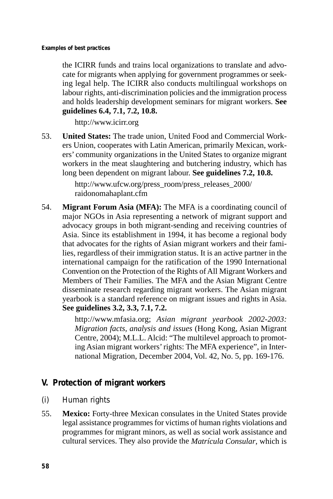the ICIRR funds and trains local organizations to translate and advocate for migrants when applying for government programmes or seeking legal help. The ICIRR also conducts multilingual workshops on labour rights, anti-discrimination policies and the immigration process and holds leadership development seminars for migrant workers. **See guidelines 6.4, 7.1, 7.2, 10.8.** 

http://www.icirr.org

53. **United States:** The trade union, United Food and Commercial Workers Union, cooperates with Latin American, primarily Mexican, workers' community organizations in the United States to organize migrant workers in the meat slaughtering and butchering industry, which has long been dependent on migrant labour. **See guidelines 7.2, 10.8.** 

> http://www.ufcw.org/press\_room/press\_releases\_2000/ raidonomahaplant.cfm

54. **Migrant Forum Asia (MFA):** The MFA is a coordinating council of major NGOs in Asia representing a network of migrant support and advocacy groups in both migrant-sending and receiving countries of Asia. Since its establishment in 1994, it has become a regional body that advocates for the rights of Asian migrant workers and their families, regardless of their immigration status. It is an active partner in the international campaign for the ratification of the 1990 International Convention on the Protection of the Rights of All Migrant Workers and Members of Their Families. The MFA and the Asian Migrant Centre disseminate research regarding migrant workers. The Asian migrant yearbook is a standard reference on migrant issues and rights in Asia. **See guidelines 3.2, 3.3, 7.1, 7.2.** 

> http://www.mfasia.org; *Asian migrant yearbook 2002-2003: Migration facts, analysis and issues* (Hong Kong, Asian Migrant Centre, 2004); M.L.L. Alcid: "The multilevel approach to promoting Asian migrant workers' rights: The MFA experience", in International Migration, December 2004, Vol. 42, No. 5, pp. 169-176.

## **V. Protection of migrant workers**

- (i) Human rights
- 55. **Mexico:** Forty-three Mexican consulates in the United States provide legal assistance programmes for victims of human rights violations and programmes for migrant minors, as well as social work assistance and cultural services. They also provide the *Matrícula Consular*, which is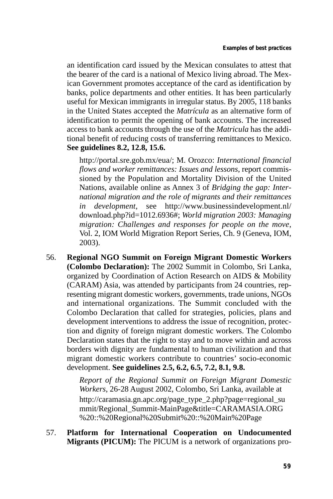an identification card issued by the Mexican consulates to attest that the bearer of the card is a national of Mexico living abroad. The Mexican Government promotes acceptance of the card as identification by banks, police departments and other entities. It has been particularly useful for Mexican immigrants in irregular status. By 2005, 118 banks in the United States accepted the *Matrícula* as an alternative form of identification to permit the opening of bank accounts. The increased access to bank accounts through the use of the *Matricula* has the additional benefit of reducing costs of transferring remittances to Mexico. **See guidelines 8.2, 12.8, 15.6.** 

http://portal.sre.gob.mx/eua/; M. Orozco: *International financial flows and worker remittances: Issues and lessons*, report commissioned by the Population and Mortality Division of the United Nations, available online as Annex 3 of *Bridging the gap: International migration and the role of migrants and their remittances in development*, see http://www.businessindevelopment.nl/ download.php?id=1012.6936#; *World migration 2003: Managing migration: Challenges and responses for people on the move*, Vol. 2, IOM World Migration Report Series, Ch. 9 (Geneva, IOM, 2003).

56. **Regional NGO Summit on Foreign Migrant Domestic Workers (Colombo Declaration):** The 2002 Summit in Colombo, Sri Lanka, organized by Coordination of Action Research on AIDS & Mobility (CARAM) Asia, was attended by participants from 24 countries, representing migrant domestic workers, governments, trade unions, NGOs and international organizations. The Summit concluded with the Colombo Declaration that called for strategies, policies, plans and development interventions to address the issue of recognition, protection and dignity of foreign migrant domestic workers. The Colombo Declaration states that the right to stay and to move within and across borders with dignity are fundamental to human civilization and that migrant domestic workers contribute to countries' socio-economic development. **See guidelines 2.5, 6.2, 6.5, 7.2, 8.1, 9.8.** 

> *Report of the Regional Summit on Foreign Migrant Domestic Workers*, 26-28 August 2002, Colombo, Sri Lanka, available at http://caramasia.gn.apc.org/page\_type\_2.php?page=regional\_su mmit/Regional\_Summit-MainPage&title=CARAMASIA.ORG %20::%20Regional%20Submit%20::%20Main%20Page

57. **Platform for International Cooperation on Undocumented Migrants (PICUM):** The PICUM is a network of organizations pro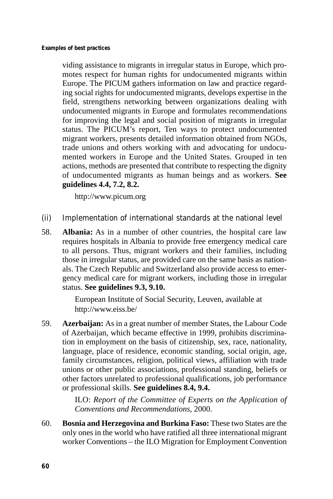viding assistance to migrants in irregular status in Europe, which promotes respect for human rights for undocumented migrants within Europe. The PICUM gathers information on law and practice regarding social rights for undocumented migrants, develops expertise in the field, strengthens networking between organizations dealing with undocumented migrants in Europe and formulates recommendations for improving the legal and social position of migrants in irregular status. The PICUM's report, Ten ways to protect undocumented migrant workers, presents detailed information obtained from NGOs, trade unions and others working with and advocating for undocumented workers in Europe and the United States. Grouped in ten actions, methods are presented that contribute to respecting the dignity of undocumented migrants as human beings and as workers. **See guidelines 4.4, 7.2, 8.2.** 

http://www.picum.org

- (ii) Implementation of international standards at the national level
- 58. **Albania:** As in a number of other countries, the hospital care law requires hospitals in Albania to provide free emergency medical care to all persons. Thus, migrant workers and their families, including those in irregular status, are provided care on the same basis as nationals. The Czech Republic and Switzerland also provide access to emergency medical care for migrant workers, including those in irregular status. **See guidelines 9.3, 9.10.**

European Institute of Social Security, Leuven, available at http://www.eiss.be/

59. **Azerbaijan:** As in a great number of member States, the Labour Code of Azerbaijan, which became effective in 1999, prohibits discrimination in employment on the basis of citizenship, sex, race, nationality, language, place of residence, economic standing, social origin, age, family circumstances, religion, political views, affiliation with trade unions or other public associations, professional standing, beliefs or other factors unrelated to professional qualifications, job performance or professional skills. **See guidelines 8.4, 9.4.** 

> ILO: *Report of the Committee of Experts on the Application of Conventions and Recommendations*, 2000.

60. **Bosnia and Herzegovina and Burkina Faso:** These two States are the only ones in the world who have ratified all three international migrant worker Conventions – the ILO Migration for Employment Convention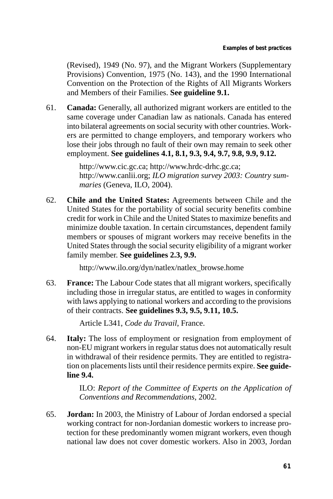(Revised), 1949 (No. 97), and the Migrant Workers (Supplementary Provisions) Convention, 1975 (No. 143), and the 1990 International Convention on the Protection of the Rights of All Migrants Workers and Members of their Families. **See guideline 9.1.** 

61. **Canada:** Generally, all authorized migrant workers are entitled to the same coverage under Canadian law as nationals. Canada has entered into bilateral agreements on social security with other countries. Workers are permitted to change employers, and temporary workers who lose their jobs through no fault of their own may remain to seek other employment. **See guidelines 4.1, 8.1, 9.3, 9.4, 9.7, 9.8, 9.9, 9.12.** 

> http://www.cic.gc.ca; http://www.hrdc-drhc.gc.ca; http://www.canlii.org; *ILO migration survey 2003: Country summaries* (Geneva, ILO, 2004).

62. **Chile and the United States:** Agreements between Chile and the United States for the portability of social security benefits combine credit for work in Chile and the United States to maximize benefits and minimize double taxation. In certain circumstances, dependent family members or spouses of migrant workers may receive benefits in the United States through the social security eligibility of a migrant worker family member. **See guidelines 2.3, 9.9.** 

http://www.ilo.org/dyn/natlex/natlex\_browse.home

63. **France:** The Labour Code states that all migrant workers, specifically including those in irregular status, are entitled to wages in conformity with laws applying to national workers and according to the provisions of their contracts. **See guidelines 9.3, 9.5, 9.11, 10.5.** 

Article L341, *Code du Travail*, France.

64. **Italy:** The loss of employment or resignation from employment of non-EU migrant workers in regular status does not automatically result in withdrawal of their residence permits. They are entitled to registration on placements lists until their residence permits expire. **See guideline 9.4.** 

> ILO: *Report of the Committee of Experts on the Application of Conventions and Recommendations*, 2002.

65. **Jordan:** In 2003, the Ministry of Labour of Jordan endorsed a special working contract for non-Jordanian domestic workers to increase protection for these predominantly women migrant workers, even though national law does not cover domestic workers. Also in 2003, Jordan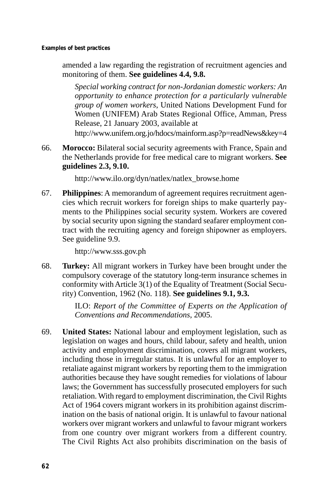**Examples of best practices** 

amended a law regarding the registration of recruitment agencies and monitoring of them. **See guidelines 4.4, 9.8.** 

*Special working contract for non-Jordanian domestic workers: An opportunity to enhance protection for a particularly vulnerable group of women workers*, United Nations Development Fund for Women (UNIFEM) Arab States Regional Office, Amman, Press Release, 21 January 2003, available at

http://www.unifem.org.jo/hdocs/mainform.asp?p=readNews&key=4

66. **Morocco:** Bilateral social security agreements with France, Spain and the Netherlands provide for free medical care to migrant workers. **See guidelines 2.3, 9.10.** 

http://www.ilo.org/dyn/natlex/natlex\_browse.home

67. **Philippines**: A memorandum of agreement requires recruitment agencies which recruit workers for foreign ships to make quarterly payments to the Philippines social security system. Workers are covered by social security upon signing the standard seafarer employment contract with the recruiting agency and foreign shipowner as employers. See guideline 9.9.

http://www.sss.gov.ph

68. **Turkey:** All migrant workers in Turkey have been brought under the compulsory coverage of the statutory long-term insurance schemes in conformity with Article 3(1) of the Equality of Treatment (Social Security) Convention, 1962 (No. 118). **See guidelines 9.1, 9.3.** 

> ILO: *Report of the Committee of Experts on the Application of Conventions and Recommendations*, 2005.

69. **United States:** National labour and employment legislation, such as legislation on wages and hours, child labour, safety and health, union activity and employment discrimination, covers all migrant workers, including those in irregular status. It is unlawful for an employer to retaliate against migrant workers by reporting them to the immigration authorities because they have sought remedies for violations of labour laws; the Government has successfully prosecuted employers for such retaliation. With regard to employment discrimination, the Civil Rights Act of 1964 covers migrant workers in its prohibition against discrimination on the basis of national origin. It is unlawful to favour national workers over migrant workers and unlawful to favour migrant workers from one country over migrant workers from a different country. The Civil Rights Act also prohibits discrimination on the basis of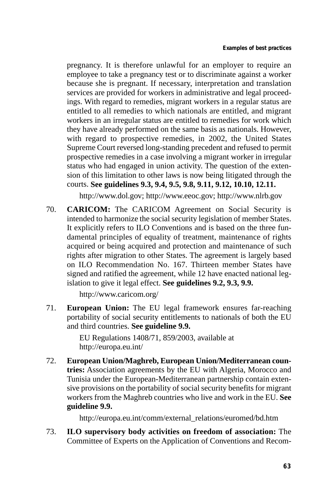pregnancy. It is therefore unlawful for an employer to require an employee to take a pregnancy test or to discriminate against a worker because she is pregnant. If necessary, interpretation and translation services are provided for workers in administrative and legal proceedings. With regard to remedies, migrant workers in a regular status are entitled to all remedies to which nationals are entitled, and migrant workers in an irregular status are entitled to remedies for work which they have already performed on the same basis as nationals. However, with regard to prospective remedies, in 2002, the United States Supreme Court reversed long-standing precedent and refused to permit prospective remedies in a case involving a migrant worker in irregular status who had engaged in union activity. The question of the extension of this limitation to other laws is now being litigated through the courts. **See guidelines 9.3, 9.4, 9.5, 9.8, 9.11, 9.12, 10.10, 12.11.** 

http://www.dol.gov; http://www.eeoc.gov; http://www.nlrb.gov

70. **CARICOM:** The CARICOM Agreement on Social Security is intended to harmonize the social security legislation of member States. It explicitly refers to ILO Conventions and is based on the three fundamental principles of equality of treatment, maintenance of rights acquired or being acquired and protection and maintenance of such rights after migration to other States. The agreement is largely based on ILO Recommendation No. 167. Thirteen member States have signed and ratified the agreement, while 12 have enacted national legislation to give it legal effect. **See guidelines 9.2, 9.3, 9.9.** 

http://www.caricom.org/

71. **European Union:** The EU legal framework ensures far-reaching portability of social security entitlements to nationals of both the EU and third countries. **See guideline 9.9.** 

> EU Regulations 1408/71, 859/2003, available at http://europa.eu.int/

72. **European Union/Maghreb, European Union/Mediterranean countries:** Association agreements by the EU with Algeria, Morocco and Tunisia under the European-Mediterranean partnership contain extensive provisions on the portability of social security benefits for migrant workers from the Maghreb countries who live and work in the EU. **See guideline 9.9.** 

http://europa.eu.int/comm/external\_relations/euromed/bd.htm

73. **ILO supervisory body activities on freedom of association:** The Committee of Experts on the Application of Conventions and Recom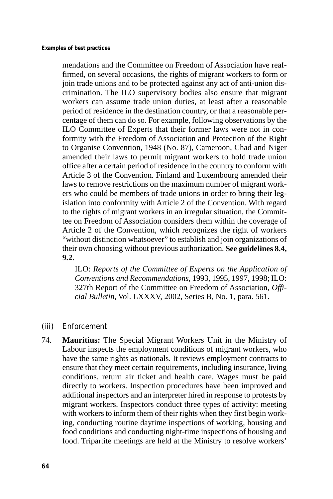mendations and the Committee on Freedom of Association have reaffirmed, on several occasions, the rights of migrant workers to form or join trade unions and to be protected against any act of anti-union discrimination. The ILO supervisory bodies also ensure that migrant workers can assume trade union duties, at least after a reasonable period of residence in the destination country, or that a reasonable percentage of them can do so. For example, following observations by the ILO Committee of Experts that their former laws were not in conformity with the Freedom of Association and Protection of the Right to Organise Convention, 1948 (No. 87), Cameroon, Chad and Niger amended their laws to permit migrant workers to hold trade union office after a certain period of residence in the country to conform with Article 3 of the Convention. Finland and Luxembourg amended their laws to remove restrictions on the maximum number of migrant workers who could be members of trade unions in order to bring their legislation into conformity with Article 2 of the Convention. With regard to the rights of migrant workers in an irregular situation, the Committee on Freedom of Association considers them within the coverage of Article 2 of the Convention, which recognizes the right of workers "without distinction whatsoever" to establish and join organizations of their own choosing without previous authorization. **See guidelines 8.4, 9.2.** 

ILO: *Reports of the Committee of Experts on the Application of Conventions and Recommendations*, 1993, 1995, 1997, 1998; ILO: 327th Report of the Committee on Freedom of Association, *Official Bulletin*, Vol. LXXXV, 2002, Series B, No. 1, para. 561.

- (iii) Enforcement
- 74. **Mauritius:** The Special Migrant Workers Unit in the Ministry of Labour inspects the employment conditions of migrant workers, who have the same rights as nationals. It reviews employment contracts to ensure that they meet certain requirements, including insurance, living conditions, return air ticket and health care. Wages must be paid directly to workers. Inspection procedures have been improved and additional inspectors and an interpreter hired in response to protests by migrant workers. Inspectors conduct three types of activity: meeting with workers to inform them of their rights when they first begin working, conducting routine daytime inspections of working, housing and food conditions and conducting night-time inspections of housing and food. Tripartite meetings are held at the Ministry to resolve workers'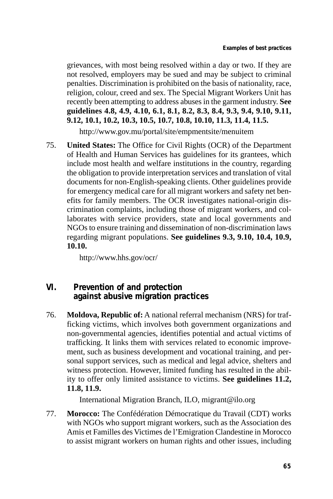grievances, with most being resolved within a day or two. If they are not resolved, employers may be sued and may be subject to criminal penalties. Discrimination is prohibited on the basis of nationality, race, religion, colour, creed and sex. The Special Migrant Workers Unit has recently been attempting to address abuses in the garment industry. **See guidelines 4.8, 4.9, 4.10, 6.1, 8.1, 8.2, 8.3, 8.4, 9.3, 9.4, 9.10, 9.11, 9.12, 10.1, 10.2, 10.3, 10.5, 10.7, 10.8, 10.10, 11.3, 11.4, 11.5.** 

http://www.gov.mu/portal/site/empmentsite/menuitem

75. **United States:** The Office for Civil Rights (OCR) of the Department of Health and Human Services has guidelines for its grantees, which include most health and welfare institutions in the country, regarding the obligation to provide interpretation services and translation of vital documents for non-English-speaking clients. Other guidelines provide for emergency medical care for all migrant workers and safety net benefits for family members. The OCR investigates national-origin discrimination complaints, including those of migrant workers, and collaborates with service providers, state and local governments and NGOs to ensure training and dissemination of non-discrimination laws regarding migrant populations. **See guidelines 9.3, 9.10, 10.4, 10.9, 10.10.** 

http://www.hhs.gov/ocr/

## **VI. Prevention of and protection against abusive migration practices**

76. **Moldova, Republic of:** A national referral mechanism (NRS) for trafficking victims, which involves both government organizations and non-governmental agencies, identifies potential and actual victims of trafficking. It links them with services related to economic improvement, such as business development and vocational training, and personal support services, such as medical and legal advice, shelters and witness protection. However, limited funding has resulted in the ability to offer only limited assistance to victims. **See guidelines 11.2, 11.8, 11.9.** 

International Migration Branch, ILO, migrant@ilo.org

77. **Morocco:** The Confédération Démocratique du Travail (CDT) works with NGOs who support migrant workers, such as the Association des Amis et Familles des Victimes de l'Emigration Clandestine in Morocco to assist migrant workers on human rights and other issues, including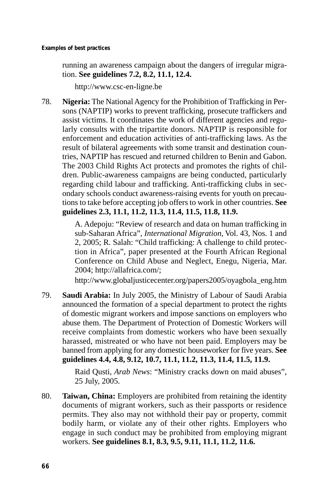running an awareness campaign about the dangers of irregular migration. **See guidelines 7.2, 8.2, 11.1, 12.4.** 

http://www.csc-en-ligne.be

78. **Nigeria:** The National Agency for the Prohibition of Trafficking in Persons (NAPTIP) works to prevent trafficking, prosecute traffickers and assist victims. It coordinates the work of different agencies and regularly consults with the tripartite donors. NAPTIP is responsible for enforcement and education activities of anti-trafficking laws. As the result of bilateral agreements with some transit and destination countries, NAPTIP has rescued and returned children to Benin and Gabon. The 2003 Child Rights Act protects and promotes the rights of children. Public-awareness campaigns are being conducted, particularly regarding child labour and trafficking. Anti-trafficking clubs in secondary schools conduct awareness-raising events for youth on precautions to take before accepting job offers to work in other countries. **See guidelines 2.3, 11.1, 11.2, 11.3, 11.4, 11.5, 11.8, 11.9.** 

> A. Adepoju: "Review of research and data on human trafficking in sub-Saharan Africa", *International Migration*, Vol. 43, Nos. 1 and 2, 2005; R. Salah: "Child trafficking: A challenge to child protection in Africa", paper presented at the Fourth African Regional Conference on Child Abuse and Neglect, Enegu, Nigeria, Mar. 2004; http://allafrica.com/;

> http://www.globaljusticecenter.org/papers2005/oyagbola\_eng.htm

79. **Saudi Arabia:** In July 2005, the Ministry of Labour of Saudi Arabia announced the formation of a special department to protect the rights of domestic migrant workers and impose sanctions on employers who abuse them. The Department of Protection of Domestic Workers will receive complaints from domestic workers who have been sexually harassed, mistreated or who have not been paid. Employers may be banned from applying for any domestic houseworker for five years. **See guidelines 4.4, 4.8, 9.12, 10.7, 11.1, 11.2, 11.3, 11.4, 11.5, 11.9.** 

> Raid Qusti, *Arab News*: "Ministry cracks down on maid abuses", 25 July, 2005.

80. **Taiwan, China:** Employers are prohibited from retaining the identity documents of migrant workers, such as their passports or residence permits. They also may not withhold their pay or property, commit bodily harm, or violate any of their other rights. Employers who engage in such conduct may be prohibited from employing migrant workers. **See guidelines 8.1, 8.3, 9.5, 9.11, 11.1, 11.2, 11.6.**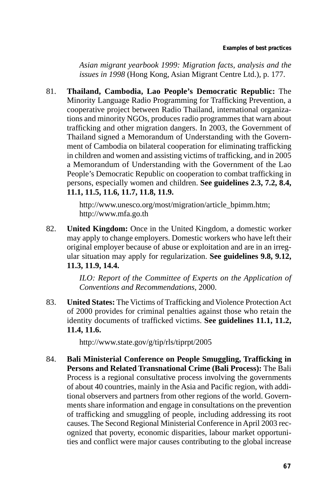*Asian migrant yearbook 1999: Migration facts, analysis and the issues in 1998* (Hong Kong, Asian Migrant Centre Ltd.), p. 177.

81. **Thailand, Cambodia, Lao People's Democratic Republic:** The Minority Language Radio Programming for Trafficking Prevention, a cooperative project between Radio Thailand, international organizations and minority NGOs, produces radio programmes that warn about trafficking and other migration dangers. In 2003, the Government of Thailand signed a Memorandum of Understanding with the Government of Cambodia on bilateral cooperation for eliminating trafficking in children and women and assisting victims of trafficking, and in 2005 a Memorandum of Understanding with the Government of the Lao People's Democratic Republic on cooperation to combat trafficking in persons, especially women and children. **See guidelines 2.3, 7.2, 8.4, 11.1, 11.5, 11.6, 11.7, 11.8, 11.9.** 

> http://www.unesco.org/most/migration/article\_bpimm.htm; http://www.mfa.go.th

82. **United Kingdom:** Once in the United Kingdom, a domestic worker may apply to change employers. Domestic workers who have left their original employer because of abuse or exploitation and are in an irregular situation may apply for regularization. **See guidelines 9.8, 9.12, 11.3, 11.9, 14.4.** 

> *ILO: Report of the Committee of Experts on the Application of Conventions and Recommendations*, 2000.

83. **United States:** The Victims of Trafficking and Violence Protection Act of 2000 provides for criminal penalties against those who retain the identity documents of trafficked victims. **See guidelines 11.1, 11.2, 11.4, 11.6.** 

http://www.state.gov/g/tip/rls/tiprpt/2005

84. **Bali Ministerial Conference on People Smuggling, Trafficking in Persons and Related Transnational Crime (Bali Process):** The Bali Process is a regional consultative process involving the governments of about 40 countries, mainly in the Asia and Pacific region, with additional observers and partners from other regions of the world. Governments share information and engage in consultations on the prevention of trafficking and smuggling of people, including addressing its root causes. The Second Regional Ministerial Conference in April 2003 recognized that poverty, economic disparities, labour market opportunities and conflict were major causes contributing to the global increase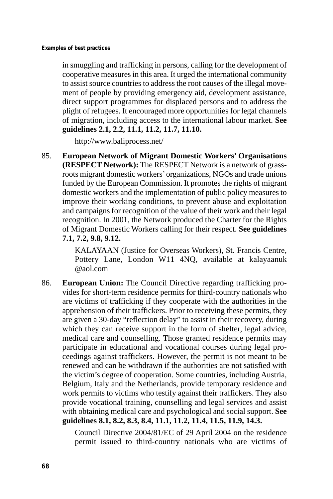in smuggling and trafficking in persons, calling for the development of cooperative measures in this area. It urged the international community to assist source countries to address the root causes of the illegal movement of people by providing emergency aid, development assistance, direct support programmes for displaced persons and to address the plight of refugees. It encouraged more opportunities for legal channels of migration, including access to the international labour market. **See guidelines 2.1, 2.2, 11.1, 11.2, 11.7, 11.10.** 

http://www.baliprocess.net/

85. **European Network of Migrant Domestic Workers' Organisations (RESPECT Network):** The RESPECT Network is a network of grassroots migrant domestic workers'organizations, NGOs and trade unions funded by the European Commission. It promotes the rights of migrant domestic workers and the implementation of public policy measures to improve their working conditions, to prevent abuse and exploitation and campaigns for recognition of the value of their work and their legal recognition. In 2001, the Network produced the Charter for the Rights of Migrant Domestic Workers calling for their respect. **See guidelines 7.1, 7.2, 9.8, 9.12.** 

> KALAYAAN (Justice for Overseas Workers), St. Francis Centre, Pottery Lane, London W11 4NQ, available at kalayaanuk @aol.com

86. **European Union:** The Council Directive regarding trafficking provides for short-term residence permits for third-country nationals who are victims of trafficking if they cooperate with the authorities in the apprehension of their traffickers. Prior to receiving these permits, they are given a 30-day "reflection delay" to assist in their recovery, during which they can receive support in the form of shelter, legal advice, medical care and counselling. Those granted residence permits may participate in educational and vocational courses during legal proceedings against traffickers. However, the permit is not meant to be renewed and can be withdrawn if the authorities are not satisfied with the victim's degree of cooperation. Some countries, including Austria, Belgium, Italy and the Netherlands, provide temporary residence and work permits to victims who testify against their traffickers. They also provide vocational training, counselling and legal services and assist with obtaining medical care and psychological and social support. **See guidelines 8.1, 8.2, 8.3, 8.4, 11.1, 11.2, 11.4, 11.5, 11.9, 14.3.** 

> Council Directive 2004/81/EC of 29 April 2004 on the residence permit issued to third-country nationals who are victims of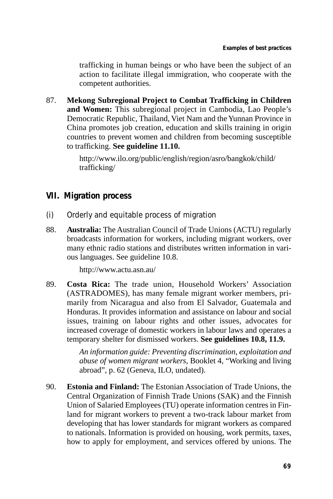trafficking in human beings or who have been the subject of an action to facilitate illegal immigration, who cooperate with the competent authorities.

87. **Mekong Subregional Project to Combat Trafficking in Children and Women:** This subregional project in Cambodia, Lao People's Democratic Republic, Thailand, Viet Nam and the Yunnan Province in China promotes job creation, education and skills training in origin countries to prevent women and children from becoming susceptible to trafficking. **See guideline 11.10.** 

> http://www.ilo.org/public/english/region/asro/bangkok/child/ trafficking/

## **VII. Migration process**

- (i) Orderly and equitable process of migration
- 88. **Australia:** The Australian Council of Trade Unions (ACTU) regularly broadcasts information for workers, including migrant workers, over many ethnic radio stations and distributes written information in various languages. See guideline 10.8.

http://www.actu.asn.au/

89. **Costa Rica:** The trade union, Household Workers' Association (ASTRADOMES), has many female migrant worker members, primarily from Nicaragua and also from El Salvador, Guatemala and Honduras. It provides information and assistance on labour and social issues, training on labour rights and other issues, advocates for increased coverage of domestic workers in labour laws and operates a temporary shelter for dismissed workers. **See guidelines 10.8, 11.9.** 

> *An information guide: Preventing discrimination, exploitation and abuse of women migrant workers*, Booklet 4, "Working and living abroad", p. 62 (Geneva, ILO, undated).

90. **Estonia and Finland:** The Estonian Association of Trade Unions, the Central Organization of Finnish Trade Unions (SAK) and the Finnish Union of Salaried Employees (TU) operate information centres in Finland for migrant workers to prevent a two-track labour market from developing that has lower standards for migrant workers as compared to nationals. Information is provided on housing, work permits, taxes, how to apply for employment, and services offered by unions. The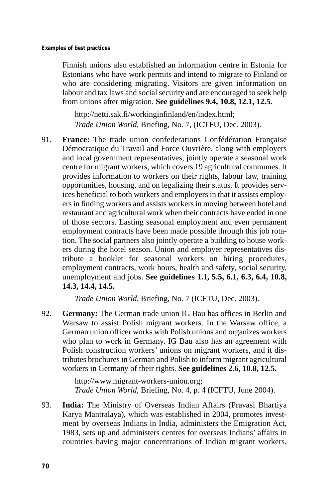Finnish unions also established an information centre in Estonia for Estonians who have work permits and intend to migrate to Finland or who are considering migrating. Visitors are given information on labour and tax laws and social security and are encouraged to seek help from unions after migration. **See guidelines 9.4, 10.8, 12.1, 12.5.** 

http://netti.sak.fi/workinginfinland/en/index.html; *Trade Union World*, Briefing, No. 7, (ICTFU, Dec. 2003).

91. **France:** The trade union confederations Confédération Française Démocratique du Travail and Force Ouvrière, along with employers and local government representatives, jointly operate a seasonal work centre for migrant workers, which covers 19 agricultural communes. It provides information to workers on their rights, labour law, training opportunities, housing, and on legalizing their status. It provides services beneficial to both workers and employers in that it assists employers in finding workers and assists workers in moving between hotel and restaurant and agricultural work when their contracts have ended in one of those sectors. Lasting seasonal employment and even permanent employment contracts have been made possible through this job rotation. The social partners also jointly operate a building to house workers during the hotel season. Union and employer representatives distribute a booklet for seasonal workers on hiring procedures, employment contracts, work hours, health and safety, social security, unemployment and jobs. **See guidelines 1.1, 5.5, 6.1, 6.3, 6.4, 10.8, 14.3, 14.4, 14.5.** 

*Trade Union World*, Briefing, No. 7 (ICFTU, Dec. 2003).

92. **Germany:** The German trade union IG Bau has offices in Berlin and Warsaw to assist Polish migrant workers. In the Warsaw office, a German union officer works with Polish unions and organizes workers who plan to work in Germany. IG Bau also has an agreement with Polish construction workers' unions on migrant workers, and it distributes brochures in German and Polish to inform migrant agricultural workers in Germany of their rights. **See guidelines 2.6, 10.8, 12.5.** 

> http://www.migrant-workers-union.org; *Trade Union World*, Briefing, No. 4, p. 4 (ICFTU, June 2004).

93. **India:** The Ministry of Overseas Indian Affairs (Pravasi Bhartiya Karya Mantralaya), which was established in 2004, promotes investment by overseas Indians in India, administers the Emigration Act, 1983, sets up and administers centres for overseas Indians' affairs in countries having major concentrations of Indian migrant workers,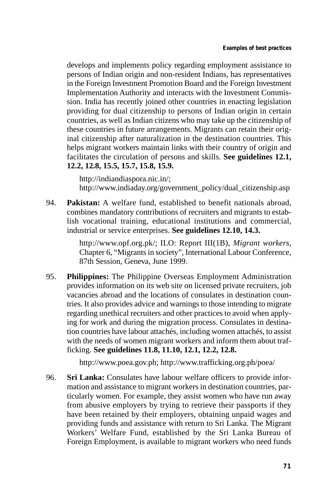develops and implements policy regarding employment assistance to persons of Indian origin and non-resident Indians, has representatives in the Foreign Investment Promotion Board and the Foreign Investment Implementation Authority and interacts with the Investment Commission. India has recently joined other countries in enacting legislation providing for dual citizenship to persons of Indian origin in certain countries, as well as Indian citizens who may take up the citizenship of these countries in future arrangements. Migrants can retain their original citizenship after naturalization in the destination countries. This helps migrant workers maintain links with their country of origin and facilitates the circulation of persons and skills. **See guidelines 12.1, 12.2, 12.8, 15.5, 15.7, 15.8, 15.9.** 

http://indiandiaspora.nic.in/; http://www.indiaday.org/government\_policy/dual\_citizenship.asp

94. **Pakistan:** A welfare fund, established to benefit nationals abroad, combines mandatory contributions of recruiters and migrants to establish vocational training, educational institutions and commercial, industrial or service enterprises. **See guidelines 12.10, 14.3.** 

> http://www.opf.org.pk/; ILO: Report III(1B), *Migrant workers*, Chapter 6, "Migrants in society", International Labour Conference, 87th Session, Geneva, June 1999.

95. **Philippines:** The Philippine Overseas Employment Administration provides information on its web site on licensed private recruiters, job vacancies abroad and the locations of consulates in destination countries. It also provides advice and warnings to those intending to migrate regarding unethical recruiters and other practices to avoid when applying for work and during the migration process. Consulates in destination countries have labour attachés, including women attachés, to assist with the needs of women migrant workers and inform them about trafficking. **See guidelines 11.8, 11.10, 12.1, 12.2, 12.8.** 

http://www.poea.gov.ph; http://www.trafficking.org.ph/poea/

96. **Sri Lanka:** Consulates have labour welfare officers to provide information and assistance to migrant workers in destination countries, particularly women. For example, they assist women who have run away from abusive employers by trying to retrieve their passports if they have been retained by their employers, obtaining unpaid wages and providing funds and assistance with return to Sri Lanka. The Migrant Workers' Welfare Fund, established by the Sri Lanka Bureau of Foreign Employment, is available to migrant workers who need funds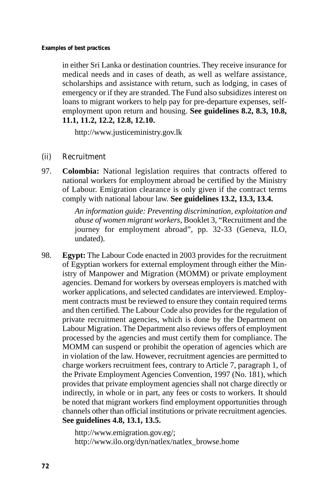in either Sri Lanka or destination countries. They receive insurance for medical needs and in cases of death, as well as welfare assistance, scholarships and assistance with return, such as lodging, in cases of emergency or if they are stranded. The Fund also subsidizes interest on loans to migrant workers to help pay for pre-departure expenses, selfemployment upon return and housing. **See guidelines 8.2, 8.3, 10.8, 11.1, 11.2, 12.2, 12.8, 12.10.** 

http://www.justiceministry.gov.lk

- (ii) Recruitment
- 97. **Colombia:** National legislation requires that contracts offered to national workers for employment abroad be certified by the Ministry of Labour. Emigration clearance is only given if the contract terms comply with national labour law. **See guidelines 13.2, 13.3, 13.4.**

*An information guide: Preventing discrimination, exploitation and abuse of women migrant workers*, Booklet 3, "Recruitment and the journey for employment abroad", pp. 32-33 (Geneva, ILO, undated).

98. **Egypt:** The Labour Code enacted in 2003 provides for the recruitment of Egyptian workers for external employment through either the Ministry of Manpower and Migration (MOMM) or private employment agencies. Demand for workers by overseas employers is matched with worker applications, and selected candidates are interviewed. Employment contracts must be reviewed to ensure they contain required terms and then certified. The Labour Code also provides for the regulation of private recruitment agencies, which is done by the Department on Labour Migration. The Department also reviews offers of employment processed by the agencies and must certify them for compliance. The MOMM can suspend or prohibit the operation of agencies which are in violation of the law. However, recruitment agencies are permitted to charge workers recruitment fees, contrary to Article 7, paragraph 1, of the Private Employment Agencies Convention, 1997 (No. 181), which provides that private employment agencies shall not charge directly or indirectly, in whole or in part, any fees or costs to workers. It should be noted that migrant workers find employment opportunities through channels other than official institutions or private recruitment agencies. **See guidelines 4.8, 13.1, 13.5.** 

> http://www.emigration.gov.eg/; http://www.ilo.org/dyn/natlex/natlex\_browse.home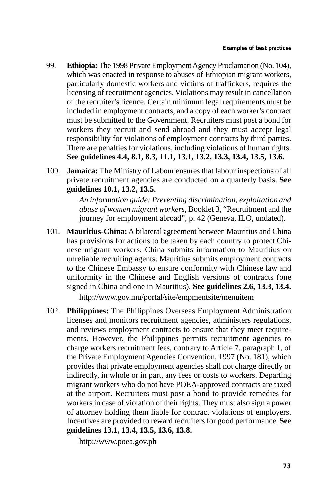- 99. **Ethiopia:** The 1998 Private Employment Agency Proclamation (No. 104), which was enacted in response to abuses of Ethiopian migrant workers, particularly domestic workers and victims of traffickers, requires the licensing of recruitment agencies. Violations may result in cancellation of the recruiter's licence. Certain minimum legal requirements must be included in employment contracts, and a copy of each worker's contract must be submitted to the Government. Recruiters must post a bond for workers they recruit and send abroad and they must accept legal responsibility for violations of employment contracts by third parties. There are penalties for violations, including violations of human rights. **See guidelines 4.4, 8.1, 8.3, 11.1, 13.1, 13.2, 13.3, 13.4, 13.5, 13.6.**
- 100. **Jamaica:** The Ministry of Labour ensures that labour inspections of all private recruitment agencies are conducted on a quarterly basis. **See guidelines 10.1, 13.2, 13.5.**

*An information guide: Preventing discrimination, exploitation and abuse of women migrant workers*, Booklet 3, "Recruitment and the journey for employment abroad", p. 42 (Geneva, ILO, undated).

- 101. **Mauritius-China:** A bilateral agreement between Mauritius and China has provisions for actions to be taken by each country to protect Chinese migrant workers. China submits information to Mauritius on unreliable recruiting agents. Mauritius submits employment contracts to the Chinese Embassy to ensure conformity with Chinese law and uniformity in the Chinese and English versions of contracts (one signed in China and one in Mauritius). **See guidelines 2.6, 13.3, 13.4.**  http://www.gov.mu/portal/site/empmentsite/menuitem
- 102. **Philippines:** The Philippines Overseas Employment Administration licenses and monitors recruitment agencies, administers regulations, and reviews employment contracts to ensure that they meet requirements. However, the Philippines permits recruitment agencies to charge workers recruitment fees, contrary to Article 7, paragraph 1, of the Private Employment Agencies Convention, 1997 (No. 181), which provides that private employment agencies shall not charge directly or indirectly, in whole or in part, any fees or costs to workers. Departing migrant workers who do not have POEA-approved contracts are taxed at the airport. Recruiters must post a bond to provide remedies for workers in case of violation of their rights. They must also sign a power of attorney holding them liable for contract violations of employers. Incentives are provided to reward recruiters for good performance. **See guidelines 13.1, 13.4, 13.5, 13.6, 13.8.**

http://www.poea.gov.ph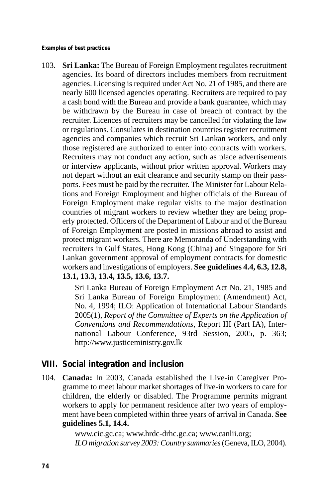**Examples of best practices** 

103. **Sri Lanka:** The Bureau of Foreign Employment regulates recruitment agencies. Its board of directors includes members from recruitment agencies. Licensing is required under Act No. 21 of 1985, and there are nearly 600 licensed agencies operating. Recruiters are required to pay a cash bond with the Bureau and provide a bank guarantee, which may be withdrawn by the Bureau in case of breach of contract by the recruiter. Licences of recruiters may be cancelled for violating the law or regulations. Consulates in destination countries register recruitment agencies and companies which recruit Sri Lankan workers, and only those registered are authorized to enter into contracts with workers. Recruiters may not conduct any action, such as place advertisements or interview applicants, without prior written approval. Workers may not depart without an exit clearance and security stamp on their passports. Fees must be paid by the recruiter. The Minister for Labour Relations and Foreign Employment and higher officials of the Bureau of Foreign Employment make regular visits to the major destination countries of migrant workers to review whether they are being properly protected. Officers of the Department of Labour and of the Bureau of Foreign Employment are posted in missions abroad to assist and protect migrant workers. There are Memoranda of Understanding with recruiters in Gulf States, Hong Kong (China) and Singapore for Sri Lankan government approval of employment contracts for domestic workers and investigations of employers. **See guidelines 4.4, 6.3, 12.8, 13.1, 13.3, 13.4, 13.5, 13.6, 13.7.** 

> Sri Lanka Bureau of Foreign Employment Act No. 21, 1985 and Sri Lanka Bureau of Foreign Employment (Amendment) Act, No. 4, 1994; ILO: Application of International Labour Standards 2005(1), *Report of the Committee of Experts on the Application of Conventions and Recommendations*, Report III (Part IA), International Labour Conference, 93rd Session, 2005, p. 363; http://www.justiceministry.gov.lk

## **VIII. Social integration and inclusion**

104. **Canada:** In 2003, Canada established the Live-in Caregiver Programme to meet labour market shortages of live-in workers to care for children, the elderly or disabled. The Programme permits migrant workers to apply for permanent residence after two years of employment have been completed within three years of arrival in Canada. **See guidelines 5.1, 14.4.** 

> www.cic.gc.ca; www.hrdc-drhc.gc.ca; www.canlii.org; *ILO migration survey 2003: Country summaries* (Geneva, ILO, 2004).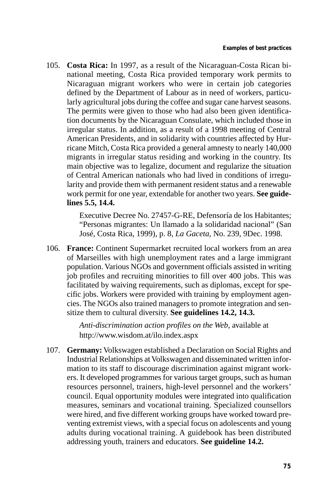105. **Costa Rica:** In 1997, as a result of the Nicaraguan-Costa Rican binational meeting, Costa Rica provided temporary work permits to Nicaraguan migrant workers who were in certain job categories defined by the Department of Labour as in need of workers, particularly agricultural jobs during the coffee and sugar cane harvest seasons. The permits were given to those who had also been given identification documents by the Nicaraguan Consulate, which included those in irregular status. In addition, as a result of a 1998 meeting of Central American Presidents, and in solidarity with countries affected by Hurricane Mitch, Costa Rica provided a general amnesty to nearly 140,000 migrants in irregular status residing and working in the country. Its main objective was to legalize, document and regularize the situation of Central American nationals who had lived in conditions of irregularity and provide them with permanent resident status and a renewable work permit for one year, extendable for another two years. **See guidelines 5.5, 14.4.** 

> Executive Decree No. 27457-G-RE, Defensoría de los Habitantes; "Personas migrantes: Un llamado a la solidaridad nacional" (San José, Costa Rica, 1999), p. 8, *La Gaceta*, No. 239, 9Dec. 1998.

106. **France:** Continent Supermarket recruited local workers from an area of Marseilles with high unemployment rates and a large immigrant population. Various NGOs and government officials assisted in writing job profiles and recruiting minorities to fill over 400 jobs. This was facilitated by waiving requirements, such as diplomas, except for specific jobs. Workers were provided with training by employment agencies. The NGOs also trained managers to promote integration and sensitize them to cultural diversity. **See guidelines 14.2, 14.3.** 

> *Anti-discrimination action profiles on the Web*, available at http://www.wisdom.at/ilo.index.aspx

107. **Germany:** Volkswagen established a Declaration on Social Rights and Industrial Relationships at Volkswagen and disseminated written information to its staff to discourage discrimination against migrant workers. It developed programmes for various target groups, such as human resources personnel, trainers, high-level personnel and the workers' council. Equal opportunity modules were integrated into qualification measures, seminars and vocational training. Specialized counsellors were hired, and five different working groups have worked toward preventing extremist views, with a special focus on adolescents and young adults during vocational training. A guidebook has been distributed addressing youth, trainers and educators. **See guideline 14.2.**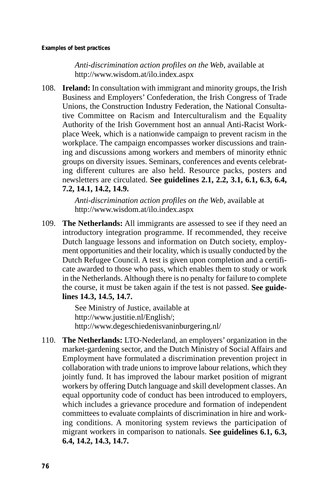*Anti-discrimination action profiles on the Web*, available at http://www.wisdom.at/ilo.index.aspx

108. **Ireland:** In consultation with immigrant and minority groups, the Irish Business and Employers' Confederation, the Irish Congress of Trade Unions, the Construction Industry Federation, the National Consultative Committee on Racism and Interculturalism and the Equality Authority of the Irish Government host an annual Anti-Racist Workplace Week, which is a nationwide campaign to prevent racism in the workplace. The campaign encompasses worker discussions and training and discussions among workers and members of minority ethnic groups on diversity issues. Seminars, conferences and events celebrating different cultures are also held. Resource packs, posters and newsletters are circulated. **See guidelines 2.1, 2.2, 3.1, 6.1, 6.3, 6.4, 7.2, 14.1, 14.2, 14.9.** 

> *Anti-discrimination action profiles on the Web*, available at http://www.wisdom.at/ilo.index.aspx

109. **The Netherlands:** All immigrants are assessed to see if they need an introductory integration programme. If recommended, they receive Dutch language lessons and information on Dutch society, employment opportunities and their locality, which is usually conducted by the Dutch Refugee Council. A test is given upon completion and a certificate awarded to those who pass, which enables them to study or work in the Netherlands. Although there is no penalty for failure to complete the course, it must be taken again if the test is not passed. **See guidelines 14.3, 14.5, 14.7.** 

> See Ministry of Justice, available at http://www.justitie.nl/English/; http://www.degeschiedenisvaninburgering.nl/

110. **The Netherlands:** LTO-Nederland, an employers' organization in the market-gardening sector, and the Dutch Ministry of Social Affairs and Employment have formulated a discrimination prevention project in collaboration with trade unions to improve labour relations, which they jointly fund. It has improved the labour market position of migrant workers by offering Dutch language and skill development classes. An equal opportunity code of conduct has been introduced to employers, which includes a grievance procedure and formation of independent committees to evaluate complaints of discrimination in hire and working conditions. A monitoring system reviews the participation of migrant workers in comparison to nationals. **See guidelines 6.1, 6.3, 6.4, 14.2, 14.3, 14.7.**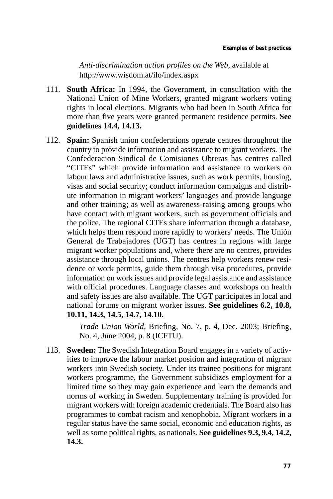*Anti-discrimination action profiles on the Web*, available at http://www.wisdom.at/ilo/index.aspx

- 111. **South Africa:** In 1994, the Government, in consultation with the National Union of Mine Workers, granted migrant workers voting rights in local elections. Migrants who had been in South Africa for more than five years were granted permanent residence permits. **See guidelines 14.4, 14.13.**
- 112. **Spain:** Spanish union confederations operate centres throughout the country to provide information and assistance to migrant workers. The Confederacion Sindical de Comisiones Obreras has centres called "CITEs" which provide information and assistance to workers on labour laws and administrative issues, such as work permits, housing, visas and social security; conduct information campaigns and distribute information in migrant workers' languages and provide language and other training; as well as awareness-raising among groups who have contact with migrant workers, such as government officials and the police. The regional CITEs share information through a database, which helps them respond more rapidly to workers' needs. The Unión General de Trabajadores (UGT) has centres in regions with large migrant worker populations and, where there are no centres, provides assistance through local unions. The centres help workers renew residence or work permits, guide them through visa procedures, provide information on work issues and provide legal assistance and assistance with official procedures. Language classes and workshops on health and safety issues are also available. The UGT participates in local and national forums on migrant worker issues. **See guidelines 6.2, 10.8, 10.11, 14.3, 14.5, 14.7, 14.10.**

*Trade Union World*, Briefing, No. 7, p. 4, Dec. 2003; Briefing, No. 4, June 2004, p. 8 (ICFTU).

113. **Sweden:** The Swedish Integration Board engages in a variety of activities to improve the labour market position and integration of migrant workers into Swedish society. Under its trainee positions for migrant workers programme, the Government subsidizes employment for a limited time so they may gain experience and learn the demands and norms of working in Sweden. Supplementary training is provided for migrant workers with foreign academic credentials. The Board also has programmes to combat racism and xenophobia. Migrant workers in a regular status have the same social, economic and education rights, as well as some political rights, as nationals. **See guidelines 9.3, 9.4, 14.2, 14.3.**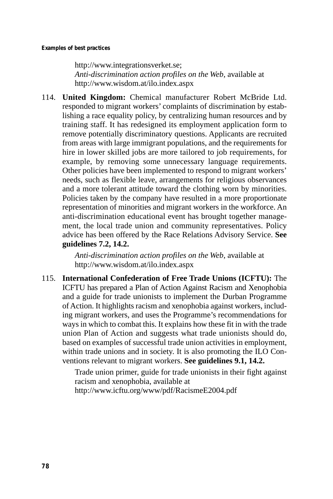http://www.integrationsverket.se; *Anti-discrimination action profiles on the Web*, available at http://www.wisdom.at/ilo.index.aspx

114. **United Kingdom:** Chemical manufacturer Robert McBride Ltd. responded to migrant workers' complaints of discrimination by establishing a race equality policy, by centralizing human resources and by training staff. It has redesigned its employment application form to remove potentially discriminatory questions. Applicants are recruited from areas with large immigrant populations, and the requirements for hire in lower skilled jobs are more tailored to job requirements, for example, by removing some unnecessary language requirements. Other policies have been implemented to respond to migrant workers' needs, such as flexible leave, arrangements for religious observances and a more tolerant attitude toward the clothing worn by minorities. Policies taken by the company have resulted in a more proportionate representation of minorities and migrant workers in the workforce. An anti-discrimination educational event has brought together management, the local trade union and community representatives. Policy advice has been offered by the Race Relations Advisory Service. **See guidelines 7.2, 14.2.** 

> *Anti-discrimination action profiles on the Web*, available at http://www.wisdom.at/ilo.index.aspx

115. **International Confederation of Free Trade Unions (ICFTU):** The ICFTU has prepared a Plan of Action Against Racism and Xenophobia and a guide for trade unionists to implement the Durban Programme of Action. It highlights racism and xenophobia against workers, including migrant workers, and uses the Programme's recommendations for ways in which to combat this. It explains how these fit in with the trade union Plan of Action and suggests what trade unionists should do, based on examples of successful trade union activities in employment, within trade unions and in society. It is also promoting the ILO Conventions relevant to migrant workers. **See guidelines 9.1, 14.2.** 

> Trade union primer, guide for trade unionists in their fight against racism and xenophobia, available at

http://www.icftu.org/www/pdf/RacismeE2004.pdf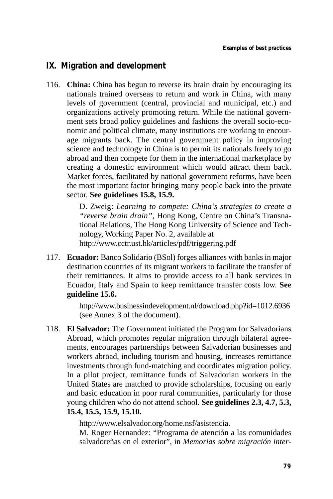## **IX. Migration and development**

116. **China:** China has begun to reverse its brain drain by encouraging its nationals trained overseas to return and work in China, with many levels of government (central, provincial and municipal, etc.) and organizations actively promoting return. While the national government sets broad policy guidelines and fashions the overall socio-economic and political climate, many institutions are working to encourage migrants back. The central government policy in improving science and technology in China is to permit its nationals freely to go abroad and then compete for them in the international marketplace by creating a domestic environment which would attract them back. Market forces, facilitated by national government reforms, have been the most important factor bringing many people back into the private sector. **See guidelines 15.8, 15.9.** 

> D. Zweig: *Learning to compete: China's strategies to create a "reverse brain drain"*, Hong Kong, Centre on China's Transnational Relations, The Hong Kong University of Science and Technology, Working Paper No. 2, available at http://www.cctr.ust.hk/articles/pdf/triggering.pdf

117. **Ecuador:** Banco Solidario (BSol) forges alliances with banks in major destination countries of its migrant workers to facilitate the transfer of their remittances. It aims to provide access to all bank services in Ecuador, Italy and Spain to keep remittance transfer costs low. **See guideline 15.6.** 

> http://www.businessindevelopment.nl/download.php?id=1012.6936 (see Annex 3 of the document).

118. **El Salvador:** The Government initiated the Program for Salvadorians Abroad, which promotes regular migration through bilateral agreements, encourages partnerships between Salvadorian businesses and workers abroad, including tourism and housing, increases remittance investments through fund-matching and coordinates migration policy. In a pilot project, remittance funds of Salvadorian workers in the United States are matched to provide scholarships, focusing on early and basic education in poor rural communities, particularly for those young children who do not attend school. **See guidelines 2.3, 4.7, 5.3, 15.4, 15.5, 15.9, 15.10.** 

http://www.elsalvador.org/home.nsf/asistencia.

M. Roger Hernandez: "Programa de atención a las comunidades salvadoreñas en el exterior", in *Memorias sobre migración inter-*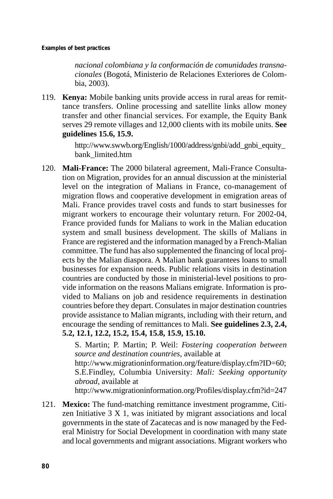**Examples of best practices** 

*nacional colombiana y la conformación de comunidades transnacionales* (Bogotá, Ministerio de Relaciones Exteriores de Colombia, 2003).

119. **Kenya:** Mobile banking units provide access in rural areas for remittance transfers. Online processing and satellite links allow money transfer and other financial services. For example, the Equity Bank serves 29 remote villages and 12,000 clients with its mobile units. **See guidelines 15.6, 15.9.** 

> http://www.swwb.org/English/1000/address/gnbi/add\_gnbi\_equity\_ bank\_limited.htm

120. **Mali-France:** The 2000 bilateral agreement, Mali-France Consultation on Migration, provides for an annual discussion at the ministerial level on the integration of Malians in France, co-management of migration flows and cooperative development in emigration areas of Mali. France provides travel costs and funds to start businesses for migrant workers to encourage their voluntary return. For 2002-04, France provided funds for Malians to work in the Malian education system and small business development. The skills of Malians in France are registered and the information managed by a French-Malian committee. The fund has also supplemented the financing of local projects by the Malian diaspora. A Malian bank guarantees loans to small businesses for expansion needs. Public relations visits in destination countries are conducted by those in ministerial-level positions to provide information on the reasons Malians emigrate. Information is provided to Malians on job and residence requirements in destination countries before they depart. Consulates in major destination countries provide assistance to Malian migrants, including with their return, and encourage the sending of remittances to Mali. **See guidelines 2.3, 2.4, 5.2, 12.1, 12.2, 15.2, 15.4, 15.8, 15.9, 15.10.** 

> S. Martin; P. Martin; P. Weil: *Fostering cooperation between source and destination countries*, available at

> http://www.migrationinformation.org/feature/display.cfm?ID=60; S.E.Findley, Columbia University: *Mali: Seeking opportunity abroad*, available at

> http://www.migrationinformation.org/Profiles/display.cfm?id=247

121. **Mexico:** The fund-matching remittance investment programme, Citizen Initiative 3 X 1, was initiated by migrant associations and local governments in the state of Zacatecas and is now managed by the Federal Ministry for Social Development in coordination with many state and local governments and migrant associations. Migrant workers who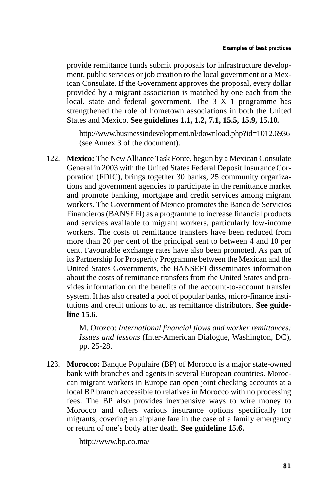provide remittance funds submit proposals for infrastructure development, public services or job creation to the local government or a Mexican Consulate. If the Government approves the proposal, every dollar provided by a migrant association is matched by one each from the local, state and federal government. The 3 X 1 programme has strengthened the role of hometown associations in both the United States and Mexico. **See guidelines 1.1, 1.2, 7.1, 15.5, 15.9, 15.10.** 

http://www.businessindevelopment.nl/download.php?id=1012.6936 (see Annex 3 of the document).

122. **Mexico:** The New Alliance Task Force, begun by a Mexican Consulate General in 2003 with the United States Federal Deposit Insurance Corporation (FDIC), brings together 30 banks, 25 community organizations and government agencies to participate in the remittance market and promote banking, mortgage and credit services among migrant workers. The Government of Mexico promotes the Banco de Servicios Financieros (BANSEFI) as a programme to increase financial products and services available to migrant workers, particularly low-income workers. The costs of remittance transfers have been reduced from more than 20 per cent of the principal sent to between 4 and 10 per cent. Favourable exchange rates have also been promoted. As part of its Partnership for Prosperity Programme between the Mexican and the United States Governments, the BANSEFI disseminates information about the costs of remittance transfers from the United States and provides information on the benefits of the account-to-account transfer system. It has also created a pool of popular banks, micro-finance institutions and credit unions to act as remittance distributors. **See guideline 15.6.** 

> M. Orozco: *International financial flows and worker remittances: Issues and lessons* (Inter-American Dialogue, Washington, DC), pp. 25-28.

123. **Morocco:** Banque Populaire (BP) of Morocco is a major state-owned bank with branches and agents in several European countries. Moroccan migrant workers in Europe can open joint checking accounts at a local BP branch accessible to relatives in Morocco with no processing fees. The BP also provides inexpensive ways to wire money to Morocco and offers various insurance options specifically for migrants, covering an airplane fare in the case of a family emergency or return of one's body after death. **See guideline 15.6.** 

http://www.bp.co.ma/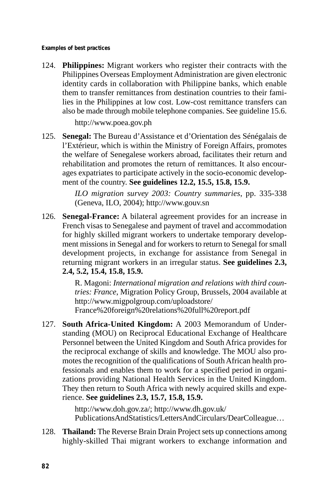**Examples of best practices** 

124. **Philippines:** Migrant workers who register their contracts with the Philippines Overseas Employment Administration are given electronic identity cards in collaboration with Philippine banks, which enable them to transfer remittances from destination countries to their families in the Philippines at low cost. Low-cost remittance transfers can also be made through mobile telephone companies. See guideline 15.6.

http://www.poea.gov.ph

125. **Senegal:** The Bureau d'Assistance et d'Orientation des Sénégalais de l'Extérieur, which is within the Ministry of Foreign Affairs, promotes the welfare of Senegalese workers abroad, facilitates their return and rehabilitation and promotes the return of remittances. It also encourages expatriates to participate actively in the socio-economic development of the country. **See guidelines 12.2, 15.5, 15.8, 15.9.** 

> *ILO migration survey 2003: Country summaries*, pp. 335-338 (Geneva, ILO, 2004); http://www.gouv.sn

126. **Senegal-France:** A bilateral agreement provides for an increase in French visas to Senegalese and payment of travel and accommodation for highly skilled migrant workers to undertake temporary development missions in Senegal and for workers to return to Senegal for small development projects, in exchange for assistance from Senegal in returning migrant workers in an irregular status. **See guidelines 2.3, 2.4, 5.2, 15.4, 15.8, 15.9.** 

> R. Magoni: *International migration and relations with third countries: France*, Migration Policy Group, Brussels, 2004 available at http://www.migpolgroup.com/uploadstore/ France%20foreign%20relations%20full%20report.pdf

127. **South Africa-United Kingdom:** A 2003 Memorandum of Understanding (MOU) on Reciprocal Educational Exchange of Healthcare Personnel between the United Kingdom and South Africa provides for the reciprocal exchange of skills and knowledge. The MOU also promotes the recognition of the qualifications of South African health professionals and enables them to work for a specified period in organizations providing National Health Services in the United Kingdom. They then return to South Africa with newly acquired skills and experience. **See guidelines 2.3, 15.7, 15.8, 15.9.** 

> http://www.doh.gov.za/; http://www.dh.gov.uk/ PublicationsAndStatistics/LettersAndCirculars/DearColleague…

128. **Thailand:** The Reverse Brain Drain Project sets up connections among highly-skilled Thai migrant workers to exchange information and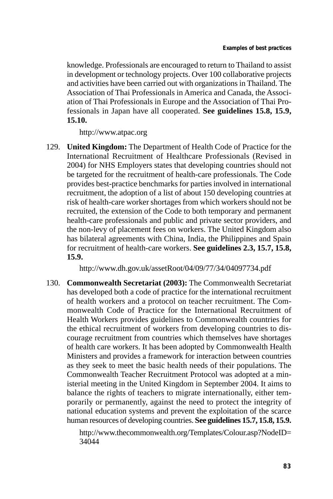knowledge. Professionals are encouraged to return to Thailand to assist in development or technology projects. Over 100 collaborative projects and activities have been carried out with organizations in Thailand. The Association of Thai Professionals in America and Canada, the Association of Thai Professionals in Europe and the Association of Thai Professionals in Japan have all cooperated. **See guidelines 15.8, 15.9, 15.10.** 

http://www.atpac.org

129. **United Kingdom:** The Department of Health Code of Practice for the International Recruitment of Healthcare Professionals (Revised in 2004) for NHS Employers states that developing countries should not be targeted for the recruitment of health-care professionals. The Code provides best-practice benchmarks for parties involved in international recruitment, the adoption of a list of about 150 developing countries at risk of health-care worker shortages from which workers should not be recruited, the extension of the Code to both temporary and permanent health-care professionals and public and private sector providers, and the non-levy of placement fees on workers. The United Kingdom also has bilateral agreements with China, India, the Philippines and Spain for recruitment of health-care workers. **See guidelines 2.3, 15.7, 15.8, 15.9.** 

http://www.dh.gov.uk/assetRoot/04/09/77/34/04097734.pdf

130. **Commonwealth Secretariat (2003):** The Commonwealth Secretariat has developed both a code of practice for the international recruitment of health workers and a protocol on teacher recruitment. The Commonwealth Code of Practice for the International Recruitment of Health Workers provides guidelines to Commonwealth countries for the ethical recruitment of workers from developing countries to discourage recruitment from countries which themselves have shortages of health care workers. It has been adopted by Commonwealth Health Ministers and provides a framework for interaction between countries as they seek to meet the basic health needs of their populations. The Commonwealth Teacher Recruitment Protocol was adopted at a ministerial meeting in the United Kingdom in September 2004. It aims to balance the rights of teachers to migrate internationally, either temporarily or permanently, against the need to protect the integrity of national education systems and prevent the exploitation of the scarce human resources of developing countries. **See guidelines 15.7, 15.8, 15.9.** 

> http://www.thecommonwealth.org/Templates/Colour.asp?NodeID= 34044